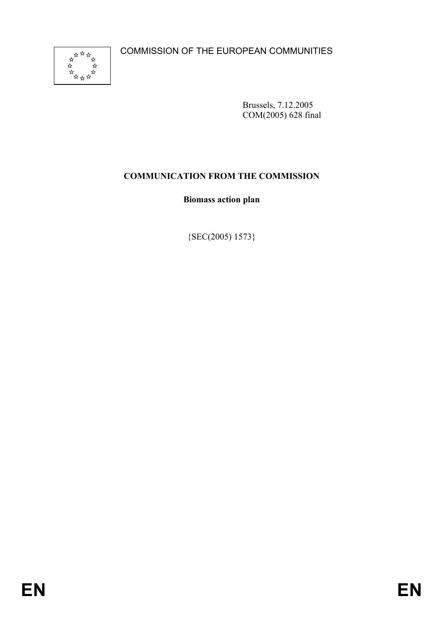COMMISSION OF THE EUROPEAN COMMUNITIES



Brussels, 7.12.2005 COM(2005) 628 final

## **COMMUNICATION FROM THE COMMISSION**

**Biomass action plan** 

{SEC(2005) 1573}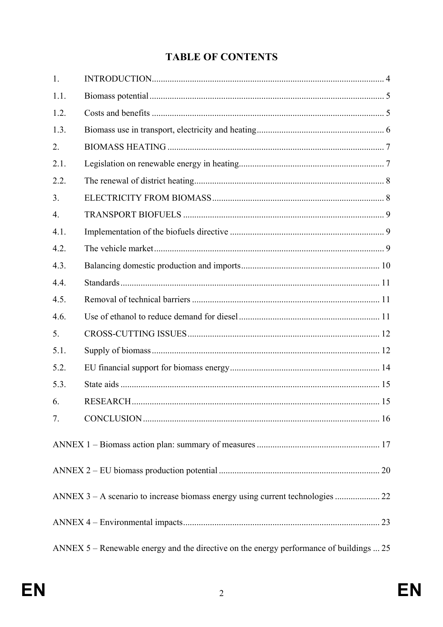# **TABLE OF CONTENTS**

| 1.               |                                                                                         |  |
|------------------|-----------------------------------------------------------------------------------------|--|
| 1.1.             |                                                                                         |  |
| 1.2.             |                                                                                         |  |
| 1.3.             |                                                                                         |  |
| 2.               |                                                                                         |  |
| 2.1.             |                                                                                         |  |
| 2.2.             |                                                                                         |  |
| 3.               |                                                                                         |  |
| $\overline{4}$ . |                                                                                         |  |
| 4.1.             |                                                                                         |  |
| 4.2.             |                                                                                         |  |
| 4.3.             |                                                                                         |  |
| 4.4.             |                                                                                         |  |
| 4.5.             |                                                                                         |  |
| 4.6.             |                                                                                         |  |
| 5.               |                                                                                         |  |
| 5.1.             |                                                                                         |  |
| 5.2.             |                                                                                         |  |
| 5.3.             |                                                                                         |  |
| 6.               |                                                                                         |  |
| 7.               |                                                                                         |  |
|                  |                                                                                         |  |
|                  |                                                                                         |  |
|                  |                                                                                         |  |
|                  |                                                                                         |  |
|                  | ANNEX 5 – Renewable energy and the directive on the energy performance of buildings  25 |  |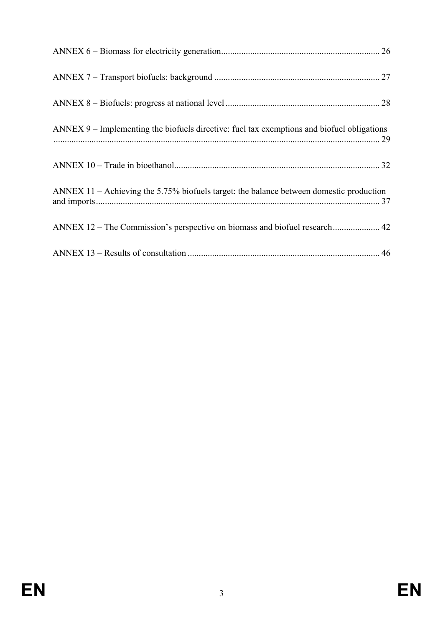| ANNEX 9 – Implementing the biofuels directive: fuel tax exemptions and biofuel obligations |
|--------------------------------------------------------------------------------------------|
|                                                                                            |
| ANNEX 11 – Achieving the $5.75\%$ biofuels target: the balance between domestic production |
|                                                                                            |
|                                                                                            |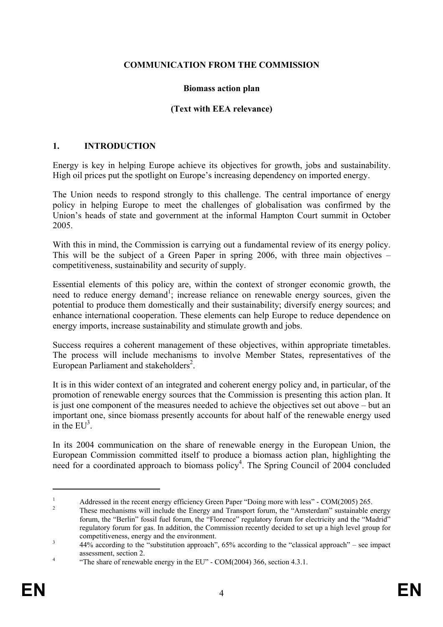#### **COMMUNICATION FROM THE COMMISSION**

#### **Biomass action plan**

#### **(Text with EEA relevance)**

#### **1. INTRODUCTION**

Energy is key in helping Europe achieve its objectives for growth, jobs and sustainability. High oil prices put the spotlight on Europe's increasing dependency on imported energy.

The Union needs to respond strongly to this challenge. The central importance of energy policy in helping Europe to meet the challenges of globalisation was confirmed by the Union's heads of state and government at the informal Hampton Court summit in October 2005.

With this in mind, the Commission is carrying out a fundamental review of its energy policy. This will be the subject of a Green Paper in spring 2006, with three main objectives – competitiveness, sustainability and security of supply.

Essential elements of this policy are, within the context of stronger economic growth, the need to reduce energy demand<sup>1</sup>; increase reliance on renewable energy sources, given the potential to produce them domestically and their sustainability; diversify energy sources; and enhance international cooperation. These elements can help Europe to reduce dependence on energy imports, increase sustainability and stimulate growth and jobs.

Success requires a coherent management of these objectives, within appropriate timetables. The process will include mechanisms to involve Member States, representatives of the European Parliament and stakeholders<sup>2</sup>.

It is in this wider context of an integrated and coherent energy policy and, in particular, of the promotion of renewable energy sources that the Commission is presenting this action plan. It is just one component of the measures needed to achieve the objectives set out above – but an important one, since biomass presently accounts for about half of the renewable energy used in the  $EU^3$ .

In its 2004 communication on the share of renewable energy in the European Union, the European Commission committed itself to produce a biomass action plan, highlighting the need for a coordinated approach to biomass policy<sup>4</sup>. The Spring Council of 2004 concluded

<sup>1</sup> Addressed in the recent energy efficiency Green Paper "Doing more with less" - COM(2005) 265.

These mechanisms will include the Energy and Transport forum, the "Amsterdam" sustainable energy forum, the "Berlin" fossil fuel forum, the "Florence" regulatory forum for electricity and the "Madrid" regulatory forum for gas. In addition, the Commission recently decided to set up a high level group for competitiveness, energy and the environment.

 <sup>44%</sup> according to the "substitution approach", 65% according to the "classical approach" – see impact assessment, section 2.

 <sup>&</sup>quot;The share of renewable energy in the EU" - COM(2004) 366, section 4.3.1.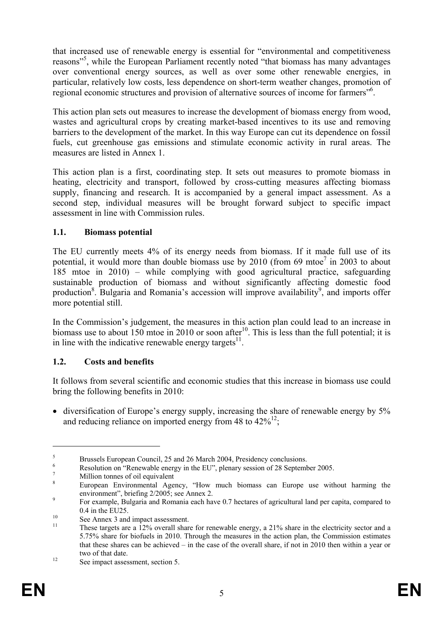that increased use of renewable energy is essential for "environmental and competitiveness reasons"<sup>5</sup>, while the European Parliament recently noted "that biomass has many advantages over conventional energy sources, as well as over some other renewable energies, in particular, relatively low costs, less dependence on short-term weather changes, promotion of regional economic structures and provision of alternative sources of income for farmers"6 .

This action plan sets out measures to increase the development of biomass energy from wood, wastes and agricultural crops by creating market-based incentives to its use and removing barriers to the development of the market. In this way Europe can cut its dependence on fossil fuels, cut greenhouse gas emissions and stimulate economic activity in rural areas. The measures are listed in Annex 1.

This action plan is a first, coordinating step. It sets out measures to promote biomass in heating, electricity and transport, followed by cross-cutting measures affecting biomass supply, financing and research. It is accompanied by a general impact assessment. As a second step, individual measures will be brought forward subject to specific impact assessment in line with Commission rules.

#### **1.1. Biomass potential**

The EU currently meets 4% of its energy needs from biomass. If it made full use of its potential, it would more than double biomass use by 2010 (from 69 mtoe<sup>7</sup> in 2003 to about 185 mtoe in 2010) – while complying with good agricultural practice, safeguarding sustainable production of biomass and without significantly affecting domestic food production<sup>8</sup>. Bulgaria and Romania's accession will improve availability<sup>9</sup>, and imports offer more potential still.

In the Commission's judgement, the measures in this action plan could lead to an increase in biomass use to about 150 mtoe in 2010 or soon after<sup>10</sup>. This is less than the full potential; it is in line with the indicative renewable energy targets $11$ .

## **1.2. Costs and benefits**

It follows from several scientific and economic studies that this increase in biomass use could bring the following benefits in 2010:

• diversification of Europe's energy supply, increasing the share of renewable energy by 5% and reducing reliance on imported energy from 48 to  $42\%^{12}$ ;

<sup>5</sup> Brussels European Council, 25 and 26 March 2004, Presidency conclusions.

<sup>6</sup> Resolution on "Renewable energy in the EU", plenary session of 28 September 2005.

<sup>7</sup> Million tonnes of oil equivalent

<sup>8</sup> European Environmental Agency, "How much biomass can Europe use without harming the environment", briefing 2/2005; see Annex 2.

For example, Bulgaria and Romania each have 0.7 hectares of agricultural land per capita, compared to 0.4 in the EU25.<br>
<sup>10</sup> See Annex 3 and impact assessment.<br>
<sup>11</sup> Theoretic and **120** separall shape

These targets are a 12% overall share for renewable energy, a 21% share in the electricity sector and a 5.75% share for biofuels in 2010. Through the measures in the action plan, the Commission estimates that these shares can be achieved – in the case of the overall share, if not in 2010 then within a year or two of that date.<br>
<sup>12</sup> See impact assessment, section 5.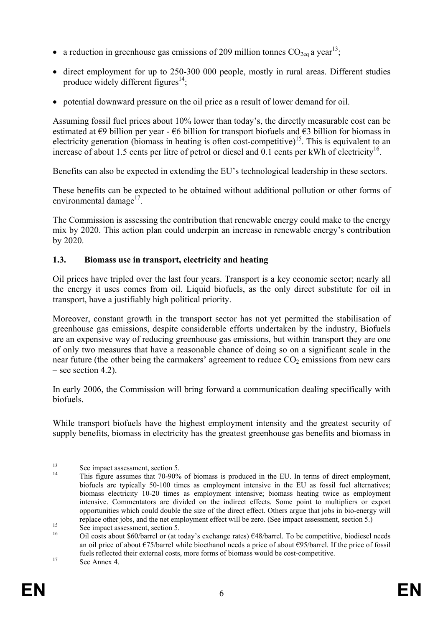- a reduction in greenhouse gas emissions of 209 million tonnes  $CO_{2eq}$  a year<sup>13</sup>;
- direct employment for up to 250-300 000 people, mostly in rural areas. Different studies produce widely different figures<sup>14</sup>:
- potential downward pressure on the oil price as a result of lower demand for oil.

Assuming fossil fuel prices about 10% lower than today's, the directly measurable cost can be estimated at  $\epsilon$ 9 billion per year -  $\epsilon$ 6 billion for transport biofuels and  $\epsilon$ 3 billion for biomass in electricity generation (biomass in heating is often cost-competitive)<sup>15</sup>. This is equivalent to an increase of about 1.5 cents per litre of petrol or diesel and  $0.1$  cents per kWh of electricity<sup>16</sup>.

Benefits can also be expected in extending the EU's technological leadership in these sectors.

These benefits can be expected to be obtained without additional pollution or other forms of environmental damage $^{17}$ .

The Commission is assessing the contribution that renewable energy could make to the energy mix by 2020. This action plan could underpin an increase in renewable energy's contribution by 2020.

## **1.3. Biomass use in transport, electricity and heating**

Oil prices have tripled over the last four years. Transport is a key economic sector; nearly all the energy it uses comes from oil. Liquid biofuels, as the only direct substitute for oil in transport, have a justifiably high political priority.

Moreover, constant growth in the transport sector has not yet permitted the stabilisation of greenhouse gas emissions, despite considerable efforts undertaken by the industry, Biofuels are an expensive way of reducing greenhouse gas emissions, but within transport they are one of only two measures that have a reasonable chance of doing so on a significant scale in the near future (the other being the carmakers' agreement to reduce  $CO<sub>2</sub>$  emissions from new cars – see section 4.2).

In early 2006, the Commission will bring forward a communication dealing specifically with biofuels.

While transport biofuels have the highest employment intensity and the greatest security of supply benefits, biomass in electricity has the greatest greenhouse gas benefits and biomass in

<u>.</u>

<sup>&</sup>lt;sup>13</sup> See impact assessment, section 5.

This figure assumes that 70-90% of biomass is produced in the EU. In terms of direct employment, biofuels are typically 50-100 times as employment intensive in the EU as fossil fuel alternatives; biomass electricity 10-20 times as employment intensive; biomass heating twice as employment intensive. Commentators are divided on the indirect effects. Some point to multipliers or export opportunities which could double the size of the direct effect. Others argue that jobs in bio-energy will replace other jobs, and the net employment effect will be zero. (See impact assessment, section 5.)<br>See impact assessment, section 5.

Oil costs about \$60/barrel or (at today's exchange rates)  $\epsilon$ 48/barrel. To be competitive, biodiesel needs an oil price of about €75/barrel while bioethanol needs a price of about €95/barrel. If the price of fossil fuels reflected their external costs, more forms of biomass would be cost-competitive.<br>See Annex 4.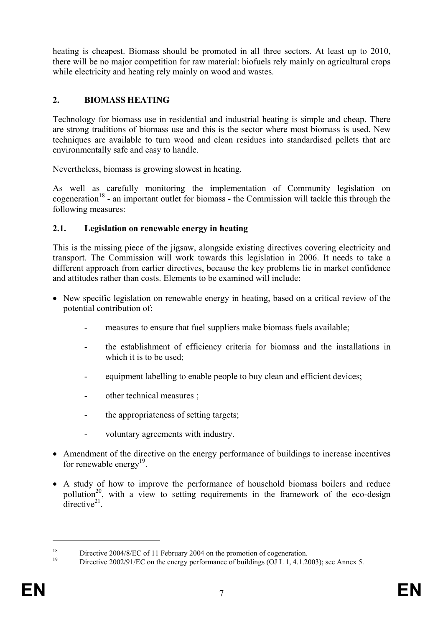heating is cheapest. Biomass should be promoted in all three sectors. At least up to 2010, there will be no major competition for raw material: biofuels rely mainly on agricultural crops while electricity and heating rely mainly on wood and wastes.

## **2. BIOMASS HEATING**

Technology for biomass use in residential and industrial heating is simple and cheap. There are strong traditions of biomass use and this is the sector where most biomass is used. New techniques are available to turn wood and clean residues into standardised pellets that are environmentally safe and easy to handle.

Nevertheless, biomass is growing slowest in heating.

As well as carefully monitoring the implementation of Community legislation on cogeneration<sup>18</sup> - an important outlet for biomass - the Commission will tackle this through the following measures:

#### **2.1. Legislation on renewable energy in heating**

This is the missing piece of the jigsaw, alongside existing directives covering electricity and transport. The Commission will work towards this legislation in 2006. It needs to take a different approach from earlier directives, because the key problems lie in market confidence and attitudes rather than costs. Elements to be examined will include:

- New specific legislation on renewable energy in heating, based on a critical review of the potential contribution of:
	- measures to ensure that fuel suppliers make biomass fuels available;
	- the establishment of efficiency criteria for biomass and the installations in which it is to be used;
	- equipment labelling to enable people to buy clean and efficient devices;
	- other technical measures ;
	- the appropriateness of setting targets;
	- voluntary agreements with industry.
- Amendment of the directive on the energy performance of buildings to increase incentives for renewable energy<sup>19</sup>.
- A study of how to improve the performance of household biomass boilers and reduce pollution<sup>20</sup>, with a view to setting requirements in the framework of the eco-design  $\frac{1}{\text{directive}^{21}}$

<sup>&</sup>lt;sup>18</sup> Directive 2004/8/EC of 11 February 2004 on the promotion of cogeneration.

Directive 2002/91/EC on the energy performance of buildings (OJ L 1, 4.1.2003); see Annex 5.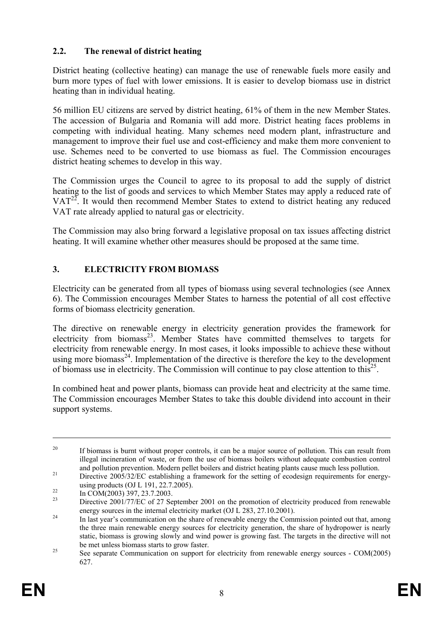### **2.2. The renewal of district heating**

District heating (collective heating) can manage the use of renewable fuels more easily and burn more types of fuel with lower emissions. It is easier to develop biomass use in district heating than in individual heating.

56 million EU citizens are served by district heating, 61% of them in the new Member States. The accession of Bulgaria and Romania will add more. District heating faces problems in competing with individual heating. Many schemes need modern plant, infrastructure and management to improve their fuel use and cost-efficiency and make them more convenient to use. Schemes need to be converted to use biomass as fuel. The Commission encourages district heating schemes to develop in this way.

The Commission urges the Council to agree to its proposal to add the supply of district heating to the list of goods and services to which Member States may apply a reduced rate of  $VAT<sup>22</sup>$ . It would then recommend Member States to extend to district heating any reduced VAT rate already applied to natural gas or electricity.

The Commission may also bring forward a legislative proposal on tax issues affecting district heating. It will examine whether other measures should be proposed at the same time.

## **3. ELECTRICITY FROM BIOMASS**

Electricity can be generated from all types of biomass using several technologies (see Annex 6). The Commission encourages Member States to harness the potential of all cost effective forms of biomass electricity generation.

The directive on renewable energy in electricity generation provides the framework for electricity from biomass<sup>23</sup>. Member States have committed themselves to targets for electricity from renewable energy. In most cases, it looks impossible to achieve these without using more biomass<sup>24</sup>. Implementation of the directive is therefore the key to the development of biomass use in electricity. The Commission will continue to pay close attention to this<sup>25</sup>.

In combined heat and power plants, biomass can provide heat and electricity at the same time. The Commission encourages Member States to take this double dividend into account in their support systems.

<sup>&</sup>lt;sup>20</sup> If biomass is burnt without proper controls, it can be a major source of pollution. This can result from illegal incineration of waste, or from the use of biomass boilers without adequate combustion control and pollution prevention. Modern pellet boilers and district heating plants cause much less pollution.<br>Directive 2005/32/EC establishing a framework for the setting of ecodesign requirements for energy-

using products (OJ L 191, 22.7.2005).<br>
In COM(2003) 397, 23.7.2003.<br>
Directive 2001/77/EQ 5.273.

Directive 2001/77/EC of 27 September 2001 on the promotion of electricity produced from renewable energy sources in the internal electricity market (OJ L 283, 27.10.2001).

 $e^{24}$  In last year's communication on the share of renewable energy the Commission pointed out that, among the three main renewable energy sources for electricity generation, the share of hydropower is nearly static, biomass is growing slowly and wind power is growing fast. The targets in the directive will not

be met unless biomass starts to grow faster.<br>
See separate Communication on support for electricity from renewable energy sources - COM(2005) 627.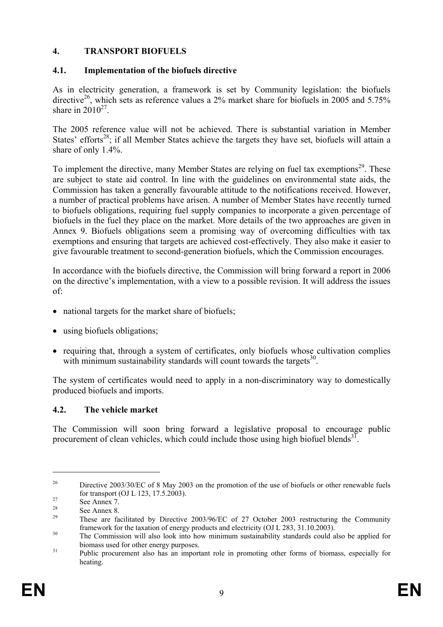#### **4. TRANSPORT BIOFUELS**

#### **4.1. Implementation of the biofuels directive**

As in electricity generation, a framework is set by Community legislation: the biofuels directive<sup>26</sup>, which sets as reference values a 2% market share for biofuels in 2005 and 5.75% share in  $2010^{27}$ .

The 2005 reference value will not be achieved. There is substantial variation in Member States' efforts<sup>28</sup>; if all Member States achieve the targets they have set, biofuels will attain a share of only 1.4%.

To implement the directive, many Member States are relying on fuel tax exemptions<sup>29</sup>. These are subject to state aid control. In line with the guidelines on environmental state aids, the Commission has taken a generally favourable attitude to the notifications received. However, a number of practical problems have arisen. A number of Member States have recently turned to biofuels obligations, requiring fuel supply companies to incorporate a given percentage of biofuels in the fuel they place on the market. More details of the two approaches are given in Annex 9. Biofuels obligations seem a promising way of overcoming difficulties with tax exemptions and ensuring that targets are achieved cost-effectively. They also make it easier to give favourable treatment to second-generation biofuels, which the Commission encourages.

In accordance with the biofuels directive, the Commission will bring forward a report in 2006 on the directive's implementation, with a view to a possible revision. It will address the issues of:

- national targets for the market share of biofuels;
- using biofuels obligations;
- requiring that, through a system of certificates, only biofuels whose cultivation complies with minimum sustainability standards will count towards the targets<sup>30</sup>.

The system of certificates would need to apply in a non-discriminatory way to domestically produced biofuels and imports.

## **4.2. The vehicle market**

The Commission will soon bring forward a legislative proposal to encourage public procurement of clean vehicles, which could include those using high biofuel blends<sup>31</sup>.

<sup>&</sup>lt;sup>26</sup> Directive 2003/30/EC of 8 May 2003 on the promotion of the use of biofuels or other renewable fuels for transport (OJ L 123, 17.5.2003).<br>See Annex 7.

 $\frac{28}{29}$  See Annex 8.

<sup>29</sup> These are facilitated by Directive 2003/96/EC of 27 October 2003 restructuring the Community framework for the taxation of energy products and electricity (OJ L 283, 31.10.2003).<br><sup>30</sup> The Commission will also look into how minimum sustainability standards could also be applied for

biomass used for other energy purposes.<br><sup>31</sup> Public procurement also has an important role in promoting other forms of biomass, especially for

heating.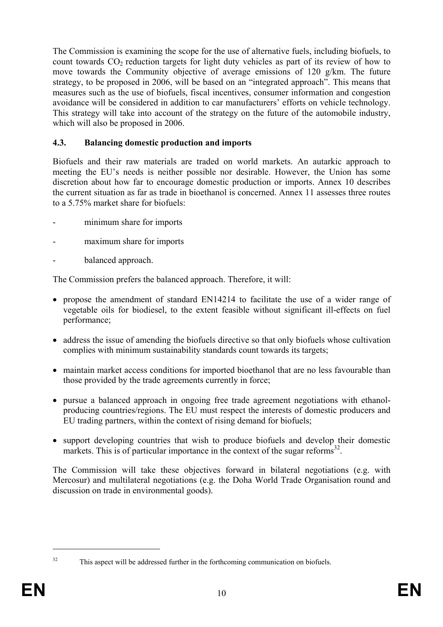The Commission is examining the scope for the use of alternative fuels, including biofuels, to count towards  $CO<sub>2</sub>$  reduction targets for light duty vehicles as part of its review of how to move towards the Community objective of average emissions of 120 g/km. The future strategy, to be proposed in 2006, will be based on an "integrated approach". This means that measures such as the use of biofuels, fiscal incentives, consumer information and congestion avoidance will be considered in addition to car manufacturers' efforts on vehicle technology. This strategy will take into account of the strategy on the future of the automobile industry, which will also be proposed in 2006.

### **4.3. Balancing domestic production and imports**

Biofuels and their raw materials are traded on world markets. An autarkic approach to meeting the EU's needs is neither possible nor desirable. However, the Union has some discretion about how far to encourage domestic production or imports. Annex 10 describes the current situation as far as trade in bioethanol is concerned. Annex 11 assesses three routes to a 5.75% market share for biofuels:

- minimum share for imports
- maximum share for imports
- balanced approach.

The Commission prefers the balanced approach. Therefore, it will:

- propose the amendment of standard EN14214 to facilitate the use of a wider range of vegetable oils for biodiesel, to the extent feasible without significant ill-effects on fuel performance;
- address the issue of amending the biofuels directive so that only biofuels whose cultivation complies with minimum sustainability standards count towards its targets;
- maintain market access conditions for imported bioethanol that are no less favourable than those provided by the trade agreements currently in force;
- pursue a balanced approach in ongoing free trade agreement negotiations with ethanolproducing countries/regions. The EU must respect the interests of domestic producers and EU trading partners, within the context of rising demand for biofuels;
- support developing countries that wish to produce biofuels and develop their domestic markets. This is of particular importance in the context of the sugar reforms $^{32}$ .

The Commission will take these objectives forward in bilateral negotiations (e.g. with Mercosur) and multilateral negotiations (e.g. the Doha World Trade Organisation round and discussion on trade in environmental goods).

<sup>&</sup>lt;sup>32</sup> This aspect will be addressed further in the forthcoming communication on biofuels.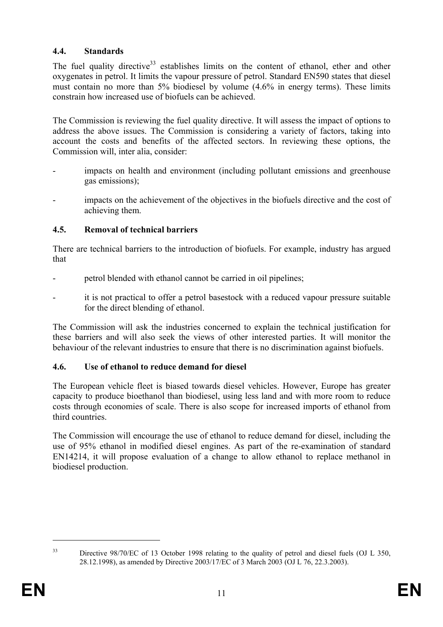### **4.4. Standards**

The fuel quality directive<sup>33</sup> establishes limits on the content of ethanol, ether and other oxygenates in petrol. It limits the vapour pressure of petrol. Standard EN590 states that diesel must contain no more than 5% biodiesel by volume (4.6% in energy terms). These limits constrain how increased use of biofuels can be achieved.

The Commission is reviewing the fuel quality directive. It will assess the impact of options to address the above issues. The Commission is considering a variety of factors, taking into account the costs and benefits of the affected sectors. In reviewing these options, the Commission will, inter alia, consider:

- impacts on health and environment (including pollutant emissions and greenhouse gas emissions);
- impacts on the achievement of the objectives in the biofuels directive and the cost of achieving them.

### **4.5. Removal of technical barriers**

There are technical barriers to the introduction of biofuels. For example, industry has argued that

- petrol blended with ethanol cannot be carried in oil pipelines;
- it is not practical to offer a petrol basestock with a reduced vapour pressure suitable for the direct blending of ethanol.

The Commission will ask the industries concerned to explain the technical justification for these barriers and will also seek the views of other interested parties. It will monitor the behaviour of the relevant industries to ensure that there is no discrimination against biofuels.

## **4.6. Use of ethanol to reduce demand for diesel**

The European vehicle fleet is biased towards diesel vehicles. However, Europe has greater capacity to produce bioethanol than biodiesel, using less land and with more room to reduce costs through economies of scale. There is also scope for increased imports of ethanol from third countries.

The Commission will encourage the use of ethanol to reduce demand for diesel, including the use of 95% ethanol in modified diesel engines. As part of the re-examination of standard EN14214, it will propose evaluation of a change to allow ethanol to replace methanol in biodiesel production.

<sup>&</sup>lt;sup>33</sup> Directive 98/70/EC of 13 October 1998 relating to the quality of petrol and diesel fuels (OJ L 350, 28.12.1998), as amended by Directive 2003/17/EC of 3 March 2003 (OJ L 76, 22.3.2003).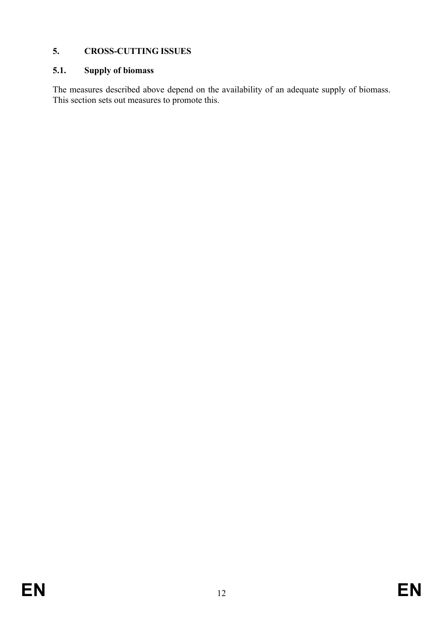### **5. CROSS-CUTTING ISSUES**

### **5.1. Supply of biomass**

The measures described above depend on the availability of an adequate supply of biomass. This section sets out measures to promote this.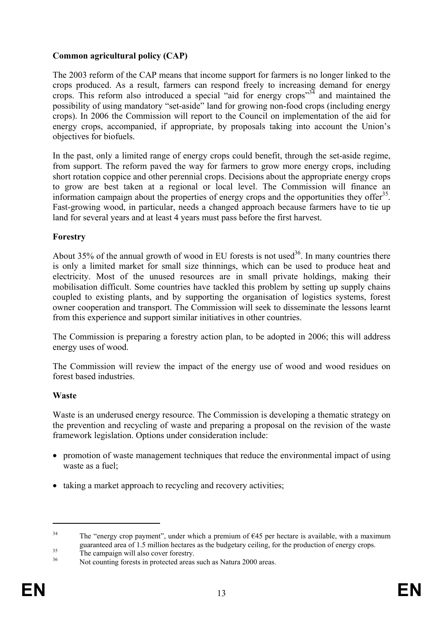### **Common agricultural policy (CAP)**

The 2003 reform of the CAP means that income support for farmers is no longer linked to the crops produced. As a result, farmers can respond freely to increasing demand for energy crops. This reform also introduced a special "aid for energy crops"<sup>34</sup> and maintained the possibility of using mandatory "set-aside" land for growing non-food crops (including energy crops). In 2006 the Commission will report to the Council on implementation of the aid for energy crops, accompanied, if appropriate, by proposals taking into account the Union's objectives for biofuels.

In the past, only a limited range of energy crops could benefit, through the set-aside regime, from support. The reform paved the way for farmers to grow more energy crops, including short rotation coppice and other perennial crops. Decisions about the appropriate energy crops to grow are best taken at a regional or local level. The Commission will finance an information campaign about the properties of energy crops and the opportunities they offer  $35$ . Fast-growing wood, in particular, needs a changed approach because farmers have to tie up land for several years and at least 4 years must pass before the first harvest.

#### **Forestry**

About 35% of the annual growth of wood in EU forests is not used<sup>36</sup>. In many countries there is only a limited market for small size thinnings, which can be used to produce heat and electricity. Most of the unused resources are in small private holdings, making their mobilisation difficult. Some countries have tackled this problem by setting up supply chains coupled to existing plants, and by supporting the organisation of logistics systems, forest owner cooperation and transport. The Commission will seek to disseminate the lessons learnt from this experience and support similar initiatives in other countries.

The Commission is preparing a forestry action plan, to be adopted in 2006; this will address energy uses of wood.

The Commission will review the impact of the energy use of wood and wood residues on forest based industries.

#### **Waste**

Waste is an underused energy resource. The Commission is developing a thematic strategy on the prevention and recycling of waste and preparing a proposal on the revision of the waste framework legislation. Options under consideration include:

- promotion of waste management techniques that reduce the environmental impact of using waste as a fuel;
- taking a market approach to recycling and recovery activities;

<sup>&</sup>lt;sup>34</sup> The "energy crop payment", under which a premium of  $\epsilon$ 45 per hectare is available, with a maximum guaranteed area of 1.5 million hectares as the budgetary ceiling, for the production of energy crops.<br>The campaign will also cover forestry.<br>36 Met counting forests in gratected gazes such as Nature 2000 gazes.

Not counting forests in protected areas such as Natura 2000 areas.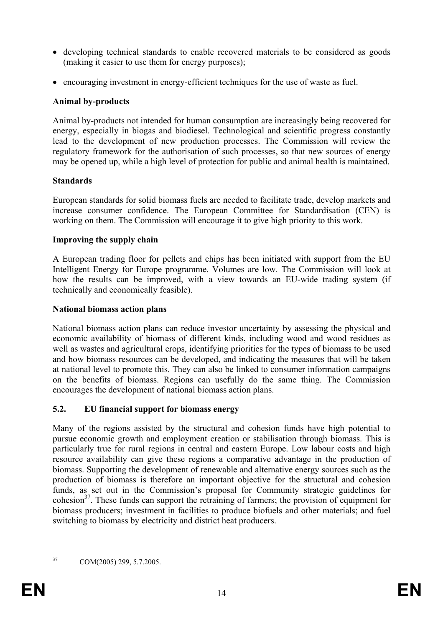- developing technical standards to enable recovered materials to be considered as goods (making it easier to use them for energy purposes);
- encouraging investment in energy-efficient techniques for the use of waste as fuel.

### **Animal by-products**

Animal by-products not intended for human consumption are increasingly being recovered for energy, especially in biogas and biodiesel. Technological and scientific progress constantly lead to the development of new production processes. The Commission will review the regulatory framework for the authorisation of such processes, so that new sources of energy may be opened up, while a high level of protection for public and animal health is maintained.

#### **Standards**

European standards for solid biomass fuels are needed to facilitate trade, develop markets and increase consumer confidence. The European Committee for Standardisation (CEN) is working on them. The Commission will encourage it to give high priority to this work.

### **Improving the supply chain**

A European trading floor for pellets and chips has been initiated with support from the EU Intelligent Energy for Europe programme. Volumes are low. The Commission will look at how the results can be improved, with a view towards an EU-wide trading system (if technically and economically feasible).

#### **National biomass action plans**

National biomass action plans can reduce investor uncertainty by assessing the physical and economic availability of biomass of different kinds, including wood and wood residues as well as wastes and agricultural crops, identifying priorities for the types of biomass to be used and how biomass resources can be developed, and indicating the measures that will be taken at national level to promote this. They can also be linked to consumer information campaigns on the benefits of biomass. Regions can usefully do the same thing. The Commission encourages the development of national biomass action plans.

## **5.2. EU financial support for biomass energy**

Many of the regions assisted by the structural and cohesion funds have high potential to pursue economic growth and employment creation or stabilisation through biomass. This is particularly true for rural regions in central and eastern Europe. Low labour costs and high resource availability can give these regions a comparative advantage in the production of biomass. Supporting the development of renewable and alternative energy sources such as the production of biomass is therefore an important objective for the structural and cohesion funds, as set out in the Commission's proposal for Community strategic guidelines for cohesion $^{37}$ . These funds can support the retraining of farmers; the provision of equipment for biomass producers; investment in facilities to produce biofuels and other materials; and fuel switching to biomass by electricity and district heat producers.

<sup>37</sup> COM(2005) 299, 5.7.2005.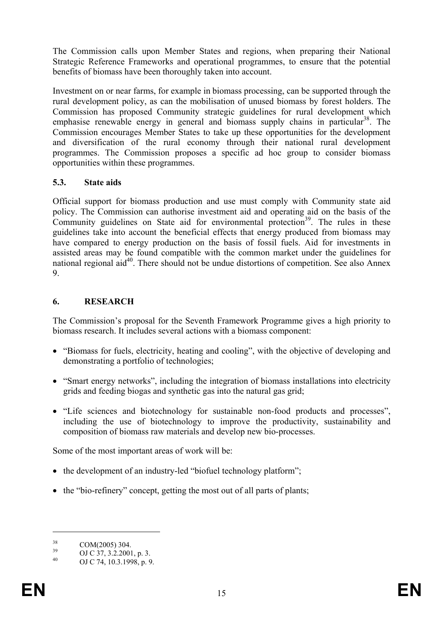The Commission calls upon Member States and regions, when preparing their National Strategic Reference Frameworks and operational programmes, to ensure that the potential benefits of biomass have been thoroughly taken into account.

Investment on or near farms, for example in biomass processing, can be supported through the rural development policy, as can the mobilisation of unused biomass by forest holders. The Commission has proposed Community strategic guidelines for rural development which emphasise renewable energy in general and biomass supply chains in particular<sup>38</sup>. The Commission encourages Member States to take up these opportunities for the development and diversification of the rural economy through their national rural development programmes. The Commission proposes a specific ad hoc group to consider biomass opportunities within these programmes.

#### **5.3. State aids**

Official support for biomass production and use must comply with Community state aid policy. The Commission can authorise investment aid and operating aid on the basis of the Community guidelines on State aid for environmental protection<sup>39</sup>. The rules in these guidelines take into account the beneficial effects that energy produced from biomass may have compared to energy production on the basis of fossil fuels. Aid for investments in assisted areas may be found compatible with the common market under the guidelines for national regional aid<sup>40</sup>. There should not be undue distortions of competition. See also Annex 9.

### **6. RESEARCH**

The Commission's proposal for the Seventh Framework Programme gives a high priority to biomass research. It includes several actions with a biomass component:

- "Biomass for fuels, electricity, heating and cooling", with the objective of developing and demonstrating a portfolio of technologies;
- "Smart energy networks", including the integration of biomass installations into electricity grids and feeding biogas and synthetic gas into the natural gas grid;
- "Life sciences and biotechnology for sustainable non-food products and processes", including the use of biotechnology to improve the productivity, sustainability and composition of biomass raw materials and develop new bio-processes.

Some of the most important areas of work will be:

- the development of an industry-led "biofuel technology platform":
- the "bio-refinery" concept, getting the most out of all parts of plants;

<u>.</u>

 $\frac{38}{39}$  COM(2005) 304.

 $^{39}$  OJ C 37, 3.2.2001, p. 3.

OJ C 74, 10.3.1998, p. 9.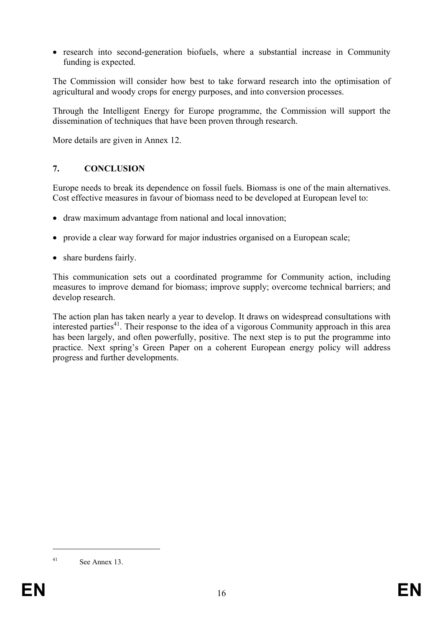• research into second-generation biofuels, where a substantial increase in Community funding is expected.

The Commission will consider how best to take forward research into the optimisation of agricultural and woody crops for energy purposes, and into conversion processes.

Through the Intelligent Energy for Europe programme, the Commission will support the dissemination of techniques that have been proven through research.

More details are given in Annex 12.

#### **7. CONCLUSION**

Europe needs to break its dependence on fossil fuels. Biomass is one of the main alternatives. Cost effective measures in favour of biomass need to be developed at European level to:

- draw maximum advantage from national and local innovation;
- provide a clear way forward for major industries organised on a European scale;
- share burdens fairly.

This communication sets out a coordinated programme for Community action, including measures to improve demand for biomass; improve supply; overcome technical barriers; and develop research.

The action plan has taken nearly a year to develop. It draws on widespread consultations with interested parties<sup>41</sup>. Their response to the idea of a vigorous Community approach in this area has been largely, and often powerfully, positive. The next step is to put the programme into practice. Next spring's Green Paper on a coherent European energy policy will address progress and further developments.

 $41$  See Annex 13.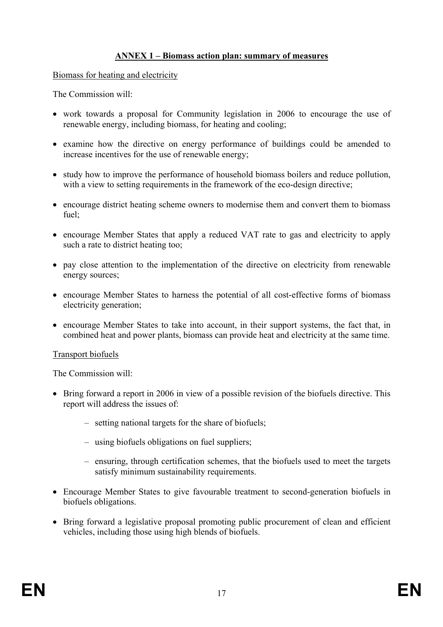### **ANNEX 1 – Biomass action plan: summary of measures**

Biomass for heating and electricity

The Commission will:

- work towards a proposal for Community legislation in 2006 to encourage the use of renewable energy, including biomass, for heating and cooling;
- examine how the directive on energy performance of buildings could be amended to increase incentives for the use of renewable energy;
- study how to improve the performance of household biomass boilers and reduce pollution, with a view to setting requirements in the framework of the eco-design directive;
- encourage district heating scheme owners to modernise them and convert them to biomass fuel;
- encourage Member States that apply a reduced VAT rate to gas and electricity to apply such a rate to district heating too;
- pay close attention to the implementation of the directive on electricity from renewable energy sources;
- encourage Member States to harness the potential of all cost-effective forms of biomass electricity generation;
- encourage Member States to take into account, in their support systems, the fact that, in combined heat and power plants, biomass can provide heat and electricity at the same time.

#### Transport biofuels

The Commission will:

- Bring forward a report in 2006 in view of a possible revision of the biofuels directive. This report will address the issues of:
	- setting national targets for the share of biofuels;
	- using biofuels obligations on fuel suppliers;
	- ensuring, through certification schemes, that the biofuels used to meet the targets satisfy minimum sustainability requirements.
- Encourage Member States to give favourable treatment to second-generation biofuels in biofuels obligations.
- Bring forward a legislative proposal promoting public procurement of clean and efficient vehicles, including those using high blends of biofuels.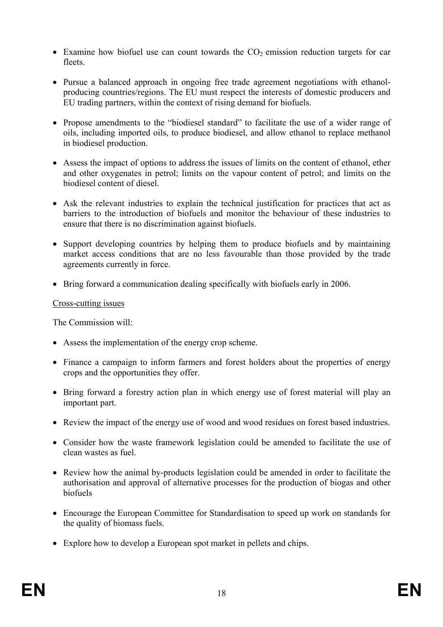- Examine how biofuel use can count towards the  $CO<sub>2</sub>$  emission reduction targets for car fleets.
- Pursue a balanced approach in ongoing free trade agreement negotiations with ethanolproducing countries/regions. The EU must respect the interests of domestic producers and EU trading partners, within the context of rising demand for biofuels.
- Propose amendments to the "biodiesel standard" to facilitate the use of a wider range of oils, including imported oils, to produce biodiesel, and allow ethanol to replace methanol in biodiesel production.
- Assess the impact of options to address the issues of limits on the content of ethanol, ether and other oxygenates in petrol; limits on the vapour content of petrol; and limits on the biodiesel content of diesel.
- Ask the relevant industries to explain the technical justification for practices that act as barriers to the introduction of biofuels and monitor the behaviour of these industries to ensure that there is no discrimination against biofuels.
- Support developing countries by helping them to produce biofuels and by maintaining market access conditions that are no less favourable than those provided by the trade agreements currently in force.
- Bring forward a communication dealing specifically with biofuels early in 2006.

### Cross-cutting issues

The Commission will:

- Assess the implementation of the energy crop scheme.
- Finance a campaign to inform farmers and forest holders about the properties of energy crops and the opportunities they offer.
- Bring forward a forestry action plan in which energy use of forest material will play an important part.
- Review the impact of the energy use of wood and wood residues on forest based industries.
- Consider how the waste framework legislation could be amended to facilitate the use of clean wastes as fuel.
- Review how the animal by-products legislation could be amended in order to facilitate the authorisation and approval of alternative processes for the production of biogas and other biofuels
- Encourage the European Committee for Standardisation to speed up work on standards for the quality of biomass fuels.
- Explore how to develop a European spot market in pellets and chips.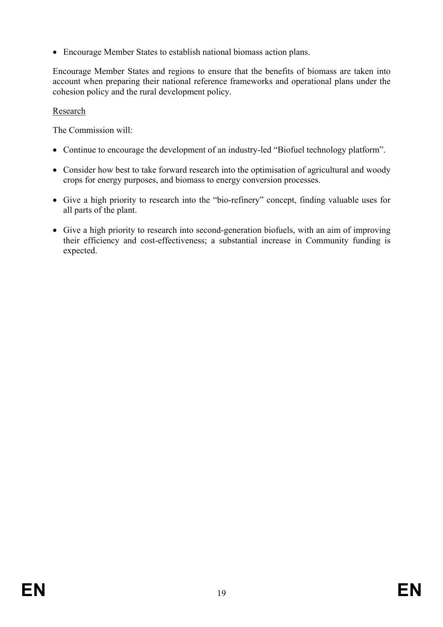• Encourage Member States to establish national biomass action plans.

Encourage Member States and regions to ensure that the benefits of biomass are taken into account when preparing their national reference frameworks and operational plans under the cohesion policy and the rural development policy.

### Research

The Commission will:

- Continue to encourage the development of an industry-led "Biofuel technology platform".
- Consider how best to take forward research into the optimisation of agricultural and woody crops for energy purposes, and biomass to energy conversion processes.
- Give a high priority to research into the "bio-refinery" concept, finding valuable uses for all parts of the plant.
- Give a high priority to research into second-generation biofuels, with an aim of improving their efficiency and cost-effectiveness; a substantial increase in Community funding is expected.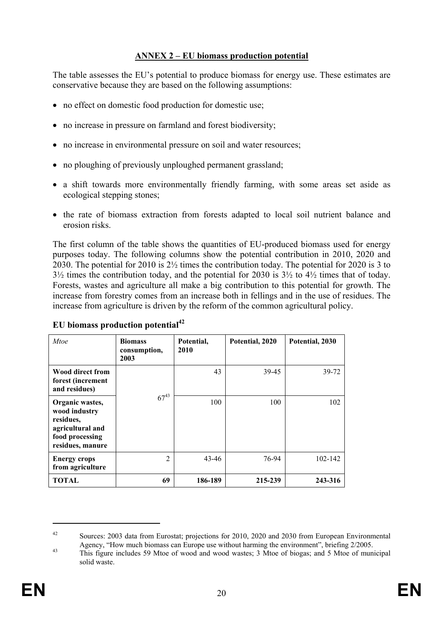### **ANNEX 2 – EU biomass production potential**

The table assesses the EU's potential to produce biomass for energy use. These estimates are conservative because they are based on the following assumptions:

- no effect on domestic food production for domestic use;
- no increase in pressure on farmland and forest biodiversity;
- no increase in environmental pressure on soil and water resources;
- no ploughing of previously unploughed permanent grassland;
- a shift towards more environmentally friendly farming, with some areas set aside as ecological stepping stones;
- the rate of biomass extraction from forests adapted to local soil nutrient balance and erosion risks.

The first column of the table shows the quantities of EU-produced biomass used for energy purposes today. The following columns show the potential contribution in 2010, 2020 and 2030. The potential for 2010 is 2½ times the contribution today. The potential for 2020 is 3 to 3½ times the contribution today, and the potential for 2030 is 3½ to 4½ times that of today. Forests, wastes and agriculture all make a big contribution to this potential for growth. The increase from forestry comes from an increase both in fellings and in the use of residues. The increase from agriculture is driven by the reform of the common agricultural policy.

| Mtoe                                                                                                     | <b>Biomass</b><br>consumption,<br>2003 | Potential,<br>2010 | Potential, 2020 | Potential, 2030 |
|----------------------------------------------------------------------------------------------------------|----------------------------------------|--------------------|-----------------|-----------------|
| Wood direct from<br>forest (increment<br>and residues)                                                   |                                        | 43                 | 39-45           | 39-72           |
| Organic wastes,<br>wood industry<br>residues,<br>agricultural and<br>food processing<br>residues, manure | $67^{43}$                              | 100                | 100             | 102             |
| <b>Energy crops</b><br>from agriculture                                                                  | $\overline{2}$                         | 43-46              | 76-94           | 102-142         |
| <b>TOTAL</b>                                                                                             | 69                                     | 186-189            | 215-239         | 243-316         |

#### **EU biomass production potential**<sup>42</sup>

<sup>&</sup>lt;sup>42</sup> Sources: 2003 data from Eurostat; projections for 2010, 2020 and 2030 from European Environmental Agency, "How much biomass can Europe use without harming the environment", briefing 2/2005.<br>This figure includes 59 Mtoe of wood and wood wastes; 3 Mtoe of biogas; and 5 Mtoe of municipal

solid waste.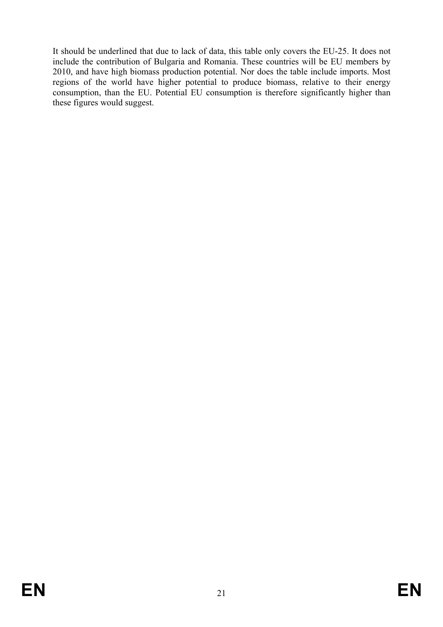It should be underlined that due to lack of data, this table only covers the EU-25. It does not include the contribution of Bulgaria and Romania. These countries will be EU members by 2010, and have high biomass production potential. Nor does the table include imports. Most regions of the world have higher potential to produce biomass, relative to their energy consumption, than the EU. Potential EU consumption is therefore significantly higher than these figures would suggest.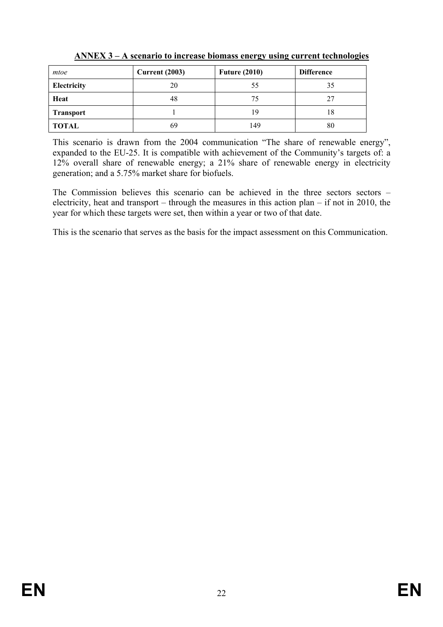| mtoe             | <b>Current (2003)</b> | <b>Future (2010)</b> | <b>Difference</b> |
|------------------|-----------------------|----------------------|-------------------|
| Electricity      | 20                    | 55                   | 35                |
| Heat             | 48                    | 75                   | 27                |
| <b>Transport</b> |                       | 19                   | 18                |
| <b>TOTAL</b>     | 69                    | 149                  | 80                |

**ANNEX 3 – A scenario to increase biomass energy using current technologies**

This scenario is drawn from the 2004 communication "The share of renewable energy", expanded to the EU-25. It is compatible with achievement of the Community's targets of: a 12% overall share of renewable energy; a 21% share of renewable energy in electricity generation; and a 5.75% market share for biofuels.

The Commission believes this scenario can be achieved in the three sectors sectors – electricity, heat and transport – through the measures in this action plan – if not in 2010, the year for which these targets were set, then within a year or two of that date.

This is the scenario that serves as the basis for the impact assessment on this Communication.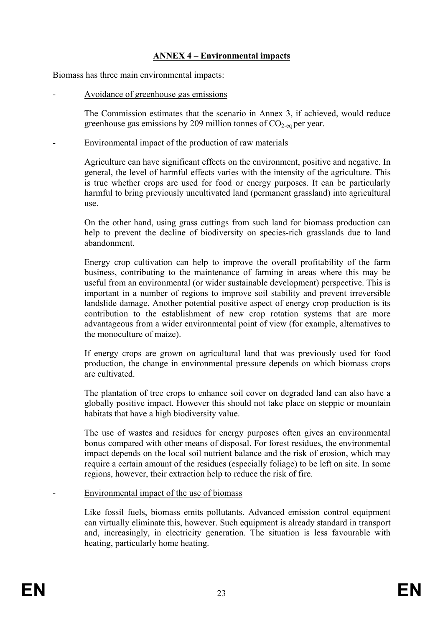### **ANNEX 4 – Environmental impacts**

Biomass has three main environmental impacts:

- Avoidance of greenhouse gas emissions

The Commission estimates that the scenario in Annex 3, if achieved, would reduce greenhouse gas emissions by 209 million tonnes of  $CO<sub>2-eq</sub>$  per year.

Environmental impact of the production of raw materials

Agriculture can have significant effects on the environment, positive and negative. In general, the level of harmful effects varies with the intensity of the agriculture. This is true whether crops are used for food or energy purposes. It can be particularly harmful to bring previously uncultivated land (permanent grassland) into agricultural use.

On the other hand, using grass cuttings from such land for biomass production can help to prevent the decline of biodiversity on species-rich grasslands due to land abandonment.

Energy crop cultivation can help to improve the overall profitability of the farm business, contributing to the maintenance of farming in areas where this may be useful from an environmental (or wider sustainable development) perspective. This is important in a number of regions to improve soil stability and prevent irreversible landslide damage. Another potential positive aspect of energy crop production is its contribution to the establishment of new crop rotation systems that are more advantageous from a wider environmental point of view (for example, alternatives to the monoculture of maize).

If energy crops are grown on agricultural land that was previously used for food production, the change in environmental pressure depends on which biomass crops are cultivated.

The plantation of tree crops to enhance soil cover on degraded land can also have a globally positive impact. However this should not take place on steppic or mountain habitats that have a high biodiversity value.

The use of wastes and residues for energy purposes often gives an environmental bonus compared with other means of disposal. For forest residues, the environmental impact depends on the local soil nutrient balance and the risk of erosion, which may require a certain amount of the residues (especially foliage) to be left on site. In some regions, however, their extraction help to reduce the risk of fire.

- Environmental impact of the use of biomass

Like fossil fuels, biomass emits pollutants. Advanced emission control equipment can virtually eliminate this, however. Such equipment is already standard in transport and, increasingly, in electricity generation. The situation is less favourable with heating, particularly home heating.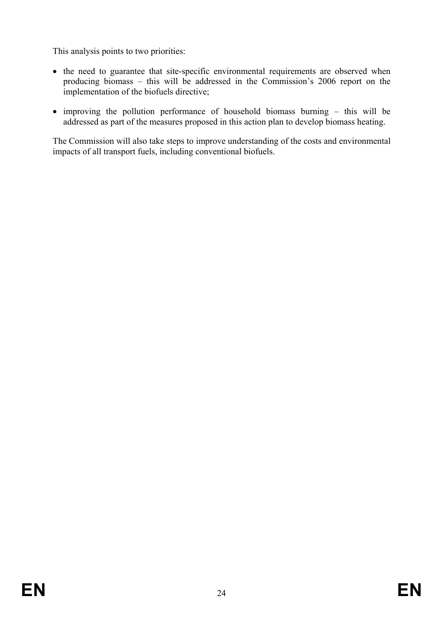This analysis points to two priorities:

- the need to guarantee that site-specific environmental requirements are observed when producing biomass – this will be addressed in the Commission's 2006 report on the implementation of the biofuels directive;
- improving the pollution performance of household biomass burning this will be addressed as part of the measures proposed in this action plan to develop biomass heating.

The Commission will also take steps to improve understanding of the costs and environmental impacts of all transport fuels, including conventional biofuels.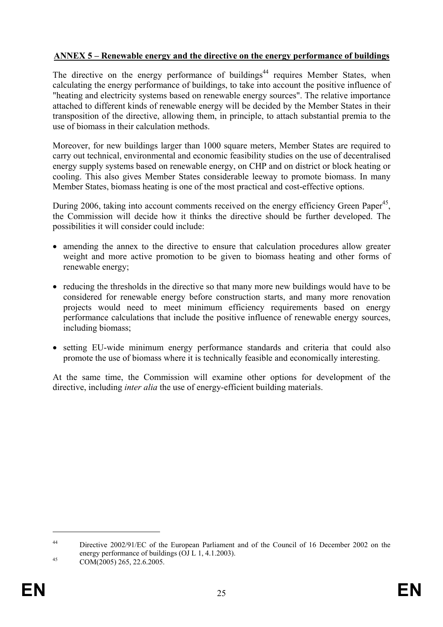## **ANNEX 5 – Renewable energy and the directive on the energy performance of buildings**

The directive on the energy performance of buildings<sup>44</sup> requires Member States, when calculating the energy performance of buildings, to take into account the positive influence of "heating and electricity systems based on renewable energy sources". The relative importance attached to different kinds of renewable energy will be decided by the Member States in their transposition of the directive, allowing them, in principle, to attach substantial premia to the use of biomass in their calculation methods.

Moreover, for new buildings larger than 1000 square meters, Member States are required to carry out technical, environmental and economic feasibility studies on the use of decentralised energy supply systems based on renewable energy, on CHP and on district or block heating or cooling. This also gives Member States considerable leeway to promote biomass. In many Member States, biomass heating is one of the most practical and cost-effective options.

During 2006, taking into account comments received on the energy efficiency Green Paper<sup>45</sup>, the Commission will decide how it thinks the directive should be further developed. The possibilities it will consider could include:

- amending the annex to the directive to ensure that calculation procedures allow greater weight and more active promotion to be given to biomass heating and other forms of renewable energy;
- reducing the thresholds in the directive so that many more new buildings would have to be considered for renewable energy before construction starts, and many more renovation projects would need to meet minimum efficiency requirements based on energy performance calculations that include the positive influence of renewable energy sources, including biomass;
- setting EU-wide minimum energy performance standards and criteria that could also promote the use of biomass where it is technically feasible and economically interesting.

At the same time, the Commission will examine other options for development of the directive, including *inter alia* the use of energy-efficient building materials.

<u>.</u>

<sup>&</sup>lt;sup>44</sup> Directive 2002/91/EC of the European Parliament and of the Council of 16 December 2002 on the energy performance of buildings (OJ L 1, 4.1.2003).<br>COM(2005) 265, 22.6.2005.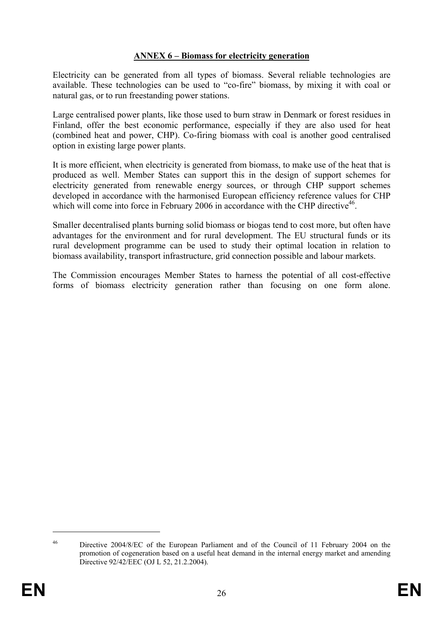#### **ANNEX 6 – Biomass for electricity generation**

Electricity can be generated from all types of biomass. Several reliable technologies are available. These technologies can be used to "co-fire" biomass, by mixing it with coal or natural gas, or to run freestanding power stations.

Large centralised power plants, like those used to burn straw in Denmark or forest residues in Finland, offer the best economic performance, especially if they are also used for heat (combined heat and power, CHP). Co-firing biomass with coal is another good centralised option in existing large power plants.

It is more efficient, when electricity is generated from biomass, to make use of the heat that is produced as well. Member States can support this in the design of support schemes for electricity generated from renewable energy sources, or through CHP support schemes developed in accordance with the harmonised European efficiency reference values for CHP which will come into force in February 2006 in accordance with the CHP directive $46$ .

Smaller decentralised plants burning solid biomass or biogas tend to cost more, but often have advantages for the environment and for rural development. The EU structural funds or its rural development programme can be used to study their optimal location in relation to biomass availability, transport infrastructure, grid connection possible and labour markets.

The Commission encourages Member States to harness the potential of all cost-effective forms of biomass electricity generation rather than focusing on one form alone.

<u>.</u>

<sup>46</sup> Directive 2004/8/EC of the European Parliament and of the Council of 11 February 2004 on the promotion of cogeneration based on a useful heat demand in the internal energy market and amending Directive 92/42/EEC (OJ L 52, 21.2.2004).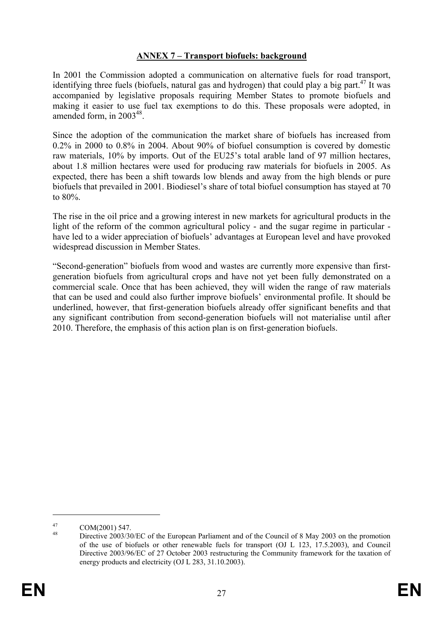### **ANNEX 7 – Transport biofuels: background**

In 2001 the Commission adopted a communication on alternative fuels for road transport, identifying three fuels (biofuels, natural gas and hydrogen) that could play a big part.<sup>47</sup> It was accompanied by legislative proposals requiring Member States to promote biofuels and making it easier to use fuel tax exemptions to do this. These proposals were adopted, in amended form, in  $2003^{48}$ .

Since the adoption of the communication the market share of biofuels has increased from 0.2% in 2000 to 0.8% in 2004. About 90% of biofuel consumption is covered by domestic raw materials, 10% by imports. Out of the EU25's total arable land of 97 million hectares, about 1.8 million hectares were used for producing raw materials for biofuels in 2005. As expected, there has been a shift towards low blends and away from the high blends or pure biofuels that prevailed in 2001. Biodiesel's share of total biofuel consumption has stayed at 70 to 80%.

The rise in the oil price and a growing interest in new markets for agricultural products in the light of the reform of the common agricultural policy - and the sugar regime in particular have led to a wider appreciation of biofuels' advantages at European level and have provoked widespread discussion in Member States.

"Second-generation" biofuels from wood and wastes are currently more expensive than firstgeneration biofuels from agricultural crops and have not yet been fully demonstrated on a commercial scale. Once that has been achieved, they will widen the range of raw materials that can be used and could also further improve biofuels' environmental profile. It should be underlined, however, that first-generation biofuels already offer significant benefits and that any significant contribution from second-generation biofuels will not materialise until after 2010. Therefore, the emphasis of this action plan is on first-generation biofuels.

 $\overline{a}$ 

 $^{47}$  COM(2001) 547.

Directive 2003/30/EC of the European Parliament and of the Council of 8 May 2003 on the promotion of the use of biofuels or other renewable fuels for transport (OJ L 123, 17.5.2003), and Council Directive 2003/96/EC of 27 October 2003 restructuring the Community framework for the taxation of energy products and electricity (OJ L 283, 31.10.2003).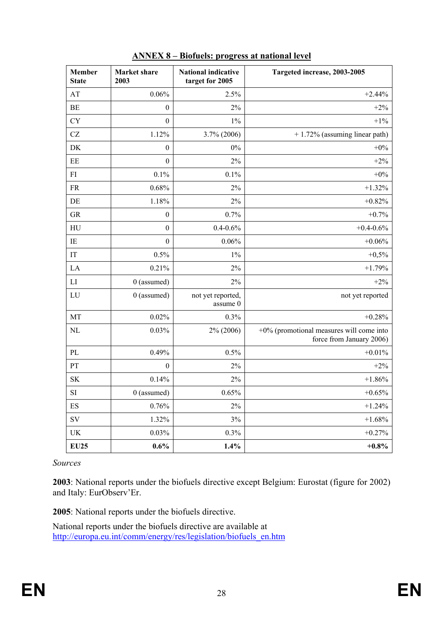| <b>Member</b><br><b>State</b>     | <b>Market</b> share<br>2003 | <b>National indicative</b><br>target for 2005 | Targeted increase, 2003-2005                                            |
|-----------------------------------|-----------------------------|-----------------------------------------------|-------------------------------------------------------------------------|
| $\mathbf{A}\mathbf{T}$            | 0.06%                       | 2.5%                                          | $+2.44%$                                                                |
| $\rm BE$                          | $\boldsymbol{0}$            | 2%                                            | $+2%$                                                                   |
| <b>CY</b>                         | $\boldsymbol{0}$            | $1\%$                                         | $+1\%$                                                                  |
| CZ                                | 1.12%                       | $3.7\%$ (2006)                                | $+ 1.72\%$ (assuming linear path)                                       |
| DK                                | $\boldsymbol{0}$            | $0\%$                                         | $+0\%$                                                                  |
| $\rm EE$                          | $\boldsymbol{0}$            | 2%                                            | $+2%$                                                                   |
| ${\rm FI}$                        | 0.1%                        | 0.1%                                          | $+0\%$                                                                  |
| ${\rm FR}$                        | 0.68%                       | 2%                                            | $+1.32%$                                                                |
| DE                                | 1.18%                       | 2%                                            | $+0.82%$                                                                |
| <b>GR</b>                         | $\boldsymbol{0}$            | 0.7%                                          | $+0.7%$                                                                 |
| HU                                | $\boldsymbol{0}$            | $0.4 - 0.6%$                                  | $+0.4 - 0.6%$                                                           |
| IE                                | $\boldsymbol{0}$            | 0.06%                                         | $+0.06%$                                                                |
| $\ensuremath{\mathsf{IT}}$        | 0.5%                        | $1\%$                                         | $+0,5%$                                                                 |
| LA                                | 0.21%                       | 2%                                            | $+1.79%$                                                                |
| ${\rm LI}$                        | 0 (assumed)                 | 2%                                            | $+2%$                                                                   |
| ${\rm LU}$                        | $0$ (assumed)               | not yet reported,<br>assume 0                 | not yet reported                                                        |
| MT                                | 0.02%                       | 0.3%                                          | $+0.28%$                                                                |
| $\rm NL$                          | 0.03%                       | $2\% (2006)$                                  | $+0\%$ (promotional measures will come into<br>force from January 2006) |
| PL                                | 0.49%                       | 0.5%                                          | $+0.01%$                                                                |
| PT                                | $\boldsymbol{0}$            | 2%                                            | $+2%$                                                                   |
| $\ensuremath{\mathbf{SK}}\xspace$ | 0.14%                       | 2%                                            | $+1.86%$                                                                |
| $\rm SI$                          | 0 (assumed)                 | 0.65%                                         | $+0.65%$                                                                |
| $\mathop{\hbox{\rm ES}}$          | 0.76%                       | 2%                                            | $+1.24%$                                                                |
| SV                                | 1.32%                       | 3%                                            | $+1.68%$                                                                |
| <b>UK</b>                         | 0.03%                       | 0.3%                                          | $+0.27%$                                                                |
| <b>EU25</b>                       | 0.6%                        | 1.4%                                          | $+0.8\%$                                                                |

# **ANNEX 8 – Biofuels: progress at national level**

*Sources*

**2003**: National reports under the biofuels directive except Belgium: Eurostat (figure for 2002) and Italy: EurObserv'Er.

**2005**: National reports under the biofuels directive.

National reports under the biofuels directive are available at http://europa.eu.int/comm/energy/res/legislation/biofuels\_en.htm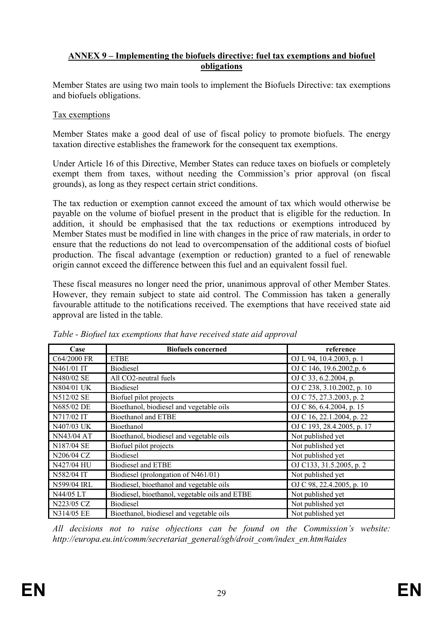#### **ANNEX 9 – Implementing the biofuels directive: fuel tax exemptions and biofuel obligations**

Member States are using two main tools to implement the Biofuels Directive: tax exemptions and biofuels obligations.

#### Tax exemptions

Member States make a good deal of use of fiscal policy to promote biofuels. The energy taxation directive establishes the framework for the consequent tax exemptions.

Under Article 16 of this Directive, Member States can reduce taxes on biofuels or completely exempt them from taxes, without needing the Commission's prior approval (on fiscal grounds), as long as they respect certain strict conditions.

The tax reduction or exemption cannot exceed the amount of tax which would otherwise be payable on the volume of biofuel present in the product that is eligible for the reduction. In addition, it should be emphasised that the tax reductions or exemptions introduced by Member States must be modified in line with changes in the price of raw materials, in order to ensure that the reductions do not lead to overcompensation of the additional costs of biofuel production. The fiscal advantage (exemption or reduction) granted to a fuel of renewable origin cannot exceed the difference between this fuel and an equivalent fossil fuel.

These fiscal measures no longer need the prior, unanimous approval of other Member States. However, they remain subject to state aid control. The Commission has taken a generally favourable attitude to the notifications received. The exemptions that have received state aid approval are listed in the table.

| Case              | <b>Biofuels</b> concerned                      | reference                  |
|-------------------|------------------------------------------------|----------------------------|
| C64/2000 FR       | <b>ETBE</b>                                    | OJ L 94, 10.4.2003, p. 1   |
| N461/01 IT        | <b>Biodiesel</b>                               | OJ C 146, 19.6.2002, p. 6  |
| N480/02 SE        | All CO2-neutral fuels                          | OJ C 33, 6.2.2004, p.      |
| N804/01 UK        | <b>Biodiesel</b>                               | OJ C 238, 3.10.2002, p. 10 |
| N512/02 SE        | Biofuel pilot projects                         | OJ C 75, 27.3.2003, p. 2   |
| N685/02 DE        | Bioethanol, biodiesel and vegetable oils       | OJ C 86, 6.4.2004, p. 15   |
| N717/02 IT        | Bioethanol and ETBE                            | OJ C 16, 22.1.2004, p. 22  |
| N407/03 UK        | Bioethanol                                     | OJ C 193, 28.4.2005, p. 17 |
| <b>NN43/04 AT</b> | Bioethanol, biodiesel and vegetable oils       | Not published yet          |
| N187/04 SE        | Biofuel pilot projects                         | Not published yet          |
| N206/04 CZ        | <b>Biodiesel</b>                               | Not published yet          |
| N427/04 HU        | <b>Biodiesel and ETBE</b>                      | OJ C133, 31.5.2005, p. 2   |
| N582/04 IT        | Biodiesel (prolongation of N461/01)            | Not published yet          |
| N599/04 IRL       | Biodiesel, bioethanol and vegetable oils       | OJ C 98, 22.4.2005, p. 10  |
| N44/05 LT         | Biodiesel, bioethanol, vegetable oils and ETBE | Not published yet          |
| N223/05 CZ        | <b>Biodiesel</b>                               | Not published yet          |
| N314/05 EE        | Bioethanol, biodiesel and vegetable oils       | Not published yet          |

*Table - Biofuel tax exemptions that have received state aid approval* 

*All decisions not to raise objections can be found on the Commission's website: http://europa.eu.int/comm/secretariat\_general/sgb/droit\_com/index\_en.htm#aides*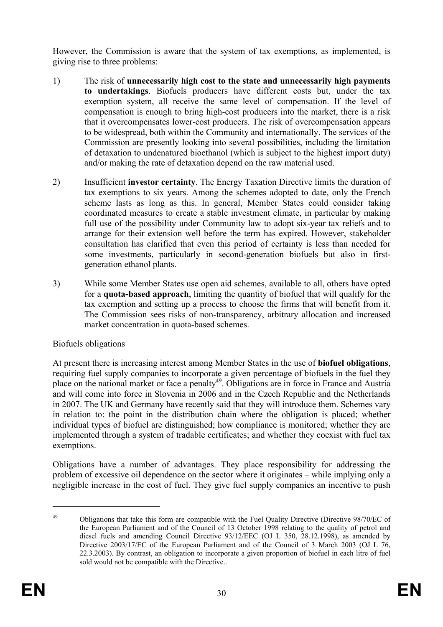However, the Commission is aware that the system of tax exemptions, as implemented, is giving rise to three problems:

- 1) The risk of **unnecessarily high cost to the state and unnecessarily high payments to undertakings**. Biofuels producers have different costs but, under the tax exemption system, all receive the same level of compensation. If the level of compensation is enough to bring high-cost producers into the market, there is a risk that it overcompensates lower-cost producers. The risk of overcompensation appears to be widespread, both within the Community and internationally. The services of the Commission are presently looking into several possibilities, including the limitation of detaxation to undenatured bioethanol (which is subject to the highest import duty) and/or making the rate of detaxation depend on the raw material used.
- 2) Insufficient **investor certainty**. The Energy Taxation Directive limits the duration of tax exemptions to six years. Among the schemes adopted to date, only the French scheme lasts as long as this. In general, Member States could consider taking coordinated measures to create a stable investment climate, in particular by making full use of the possibility under Community law to adopt six-year tax reliefs and to arrange for their extension well before the term has expired. However, stakeholder consultation has clarified that even this period of certainty is less than needed for some investments, particularly in second-generation biofuels but also in firstgeneration ethanol plants.
- 3) While some Member States use open aid schemes, available to all, others have opted for a **quota-based approach**, limiting the quantity of biofuel that will qualify for the tax exemption and setting up a process to choose the firms that will benefit from it. The Commission sees risks of non-transparency, arbitrary allocation and increased market concentration in quota-based schemes.

#### Biofuels obligations

At present there is increasing interest among Member States in the use of **biofuel obligations**, requiring fuel supply companies to incorporate a given percentage of biofuels in the fuel they place on the national market or face a penalty<sup>49</sup>. Obligations are in force in France and Austria and will come into force in Slovenia in 2006 and in the Czech Republic and the Netherlands in 2007. The UK and Germany have recently said that they will introduce them. Schemes vary in relation to: the point in the distribution chain where the obligation is placed; whether individual types of biofuel are distinguished; how compliance is monitored; whether they are implemented through a system of tradable certificates; and whether they coexist with fuel tax exemptions.

Obligations have a number of advantages. They place responsibility for addressing the problem of excessive oil dependence on the sector where it originates – while implying only a negligible increase in the cost of fuel. They give fuel supply companies an incentive to push

<u>.</u>

<sup>&</sup>lt;sup>49</sup> Obligations that take this form are compatible with the Fuel Quality Directive (Directive 98/70/EC of the European Parliament and of the Council of 13 October 1998 relating to the quality of petrol and diesel fuels and amending Council Directive 93/12/EEC (OJ L 350, 28.12.1998), as amended by Directive 2003/17/EC of the European Parliament and of the Council of 3 March 2003 (OJ L 76, 22.3.2003). By contrast, an obligation to incorporate a given proportion of biofuel in each litre of fuel sold would not be compatible with the Directive..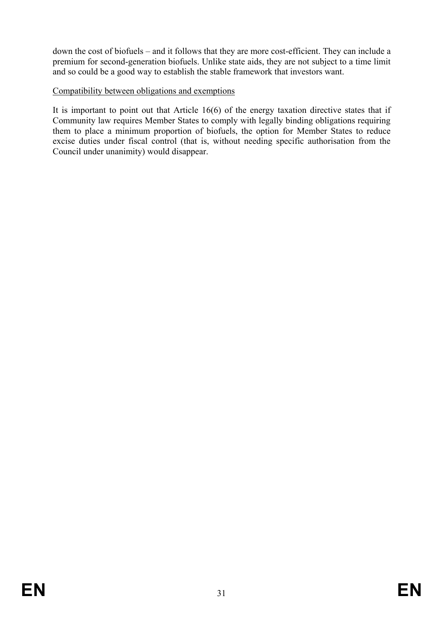down the cost of biofuels – and it follows that they are more cost-efficient. They can include a premium for second-generation biofuels. Unlike state aids, they are not subject to a time limit and so could be a good way to establish the stable framework that investors want.

#### Compatibility between obligations and exemptions

It is important to point out that Article 16(6) of the energy taxation directive states that if Community law requires Member States to comply with legally binding obligations requiring them to place a minimum proportion of biofuels, the option for Member States to reduce excise duties under fiscal control (that is, without needing specific authorisation from the Council under unanimity) would disappear.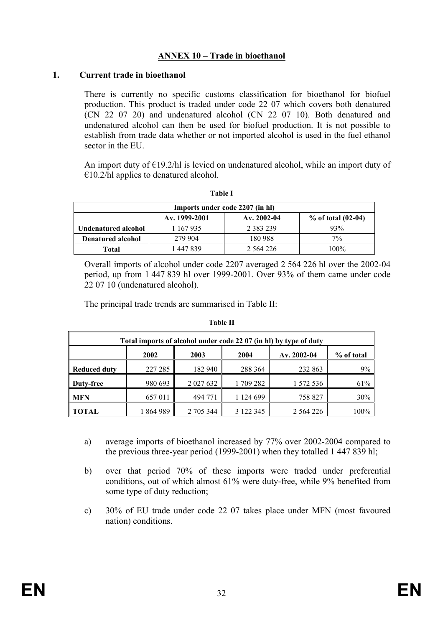## **ANNEX 10 – Trade in bioethanol**

#### **1. Current trade in bioethanol**

There is currently no specific customs classification for bioethanol for biofuel production. This product is traded under code 22 07 which covers both denatured (CN 22 07 20) and undenatured alcohol (CN 22 07 10). Both denatured and undenatured alcohol can then be used for biofuel production. It is not possible to establish from trade data whether or not imported alcohol is used in the fuel ethanol sector in the EU.

An import duty of  $E19.2/hl$  is levied on undenatured alcohol, while an import duty of  $€10.2/h$ l applies to denatured alcohol.

| Imports under code 2207 (in hl)                          |           |               |       |  |  |  |  |
|----------------------------------------------------------|-----------|---------------|-------|--|--|--|--|
| $%$ of total $(02-04)$<br>Av. $2002-04$<br>Av. 1999-2001 |           |               |       |  |  |  |  |
| Undenatured alcohol                                      | 1 167 935 | 2 3 8 3 2 3 9 | 93%   |  |  |  |  |
| Denatured alcohol                                        | 279 904   | 180 988       | $7\%$ |  |  |  |  |
| Total                                                    | 447839    | 2 5 6 4 2 2 6 | 100%  |  |  |  |  |

**Table I** 

Overall imports of alcohol under code 2207 averaged 2 564 226 hl over the 2002-04 period, up from 1 447 839 hl over 1999-2001. Over 93% of them came under code 22 07 10 (undenatured alcohol).

The principal trade trends are summarised in Table II:

| Total imports of alcohol under code 22 07 (in hl) by type of duty |           |               |           |               |            |  |  |
|-------------------------------------------------------------------|-----------|---------------|-----------|---------------|------------|--|--|
|                                                                   | 2002      | 2003          | 2004      | Av. $2002-04$ | % of total |  |  |
| <b>Reduced duty</b>                                               | 227 285   | 182 940       | 288 364   | 232 863       | 9%         |  |  |
| Duty-free                                                         | 980 693   | 2 0 2 7 6 3 2 | 1709 282  | 1 572 536     | 61%        |  |  |
| MFN                                                               | 657 011   | 494 771       | 1 124 699 | 758 827       | 30%        |  |  |
| <b>TOTAL</b>                                                      | 1 864 989 | 2 705 344     | 3 122 345 | 2 5 6 4 2 2 6 | 100%       |  |  |

#### **Table II**

- a) average imports of bioethanol increased by 77% over 2002-2004 compared to the previous three-year period (1999-2001) when they totalled 1 447 839 hl;
- b) over that period 70% of these imports were traded under preferential conditions, out of which almost 61% were duty-free, while 9% benefited from some type of duty reduction;
- c) 30% of EU trade under code 22 07 takes place under MFN (most favoured nation) conditions.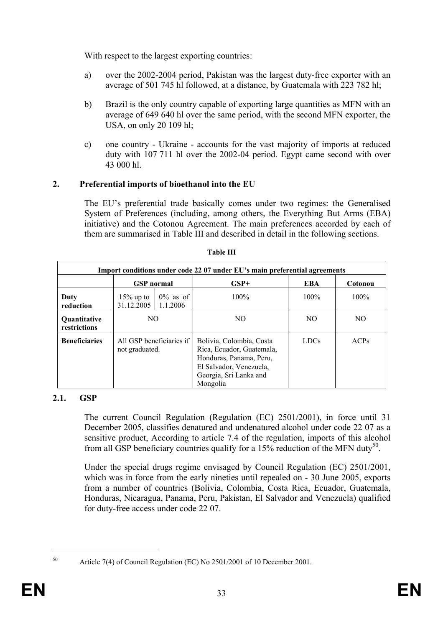With respect to the largest exporting countries:

- a) over the 2002-2004 period, Pakistan was the largest duty-free exporter with an average of 501 745 hl followed, at a distance, by Guatemala with 223 782 hl;
- b) Brazil is the only country capable of exporting large quantities as MFN with an average of 649 640 hl over the same period, with the second MFN exporter, the USA, on only 20 109 hl;
- c) one country Ukraine accounts for the vast majority of imports at reduced duty with 107 711 hl over the 2002-04 period. Egypt came second with over 43 000 hl.

## **2. Preferential imports of bioethanol into the EU**

The EU's preferential trade basically comes under two regimes: the Generalised System of Preferences (including, among others, the Everything But Arms (EBA) initiative) and the Cotonou Agreement. The main preferences accorded by each of them are summarised in Table III and described in detail in the following sections.

| Import conditions under code 22 07 under EU's main preferential agreements |                            |                                                                                                                                                   |                  |         |         |  |  |
|----------------------------------------------------------------------------|----------------------------|---------------------------------------------------------------------------------------------------------------------------------------------------|------------------|---------|---------|--|--|
|                                                                            | <b>GSP</b> normal          |                                                                                                                                                   | $GSP+$           | EBA     | Cotonou |  |  |
| Duty<br>reduction                                                          | $15\%$ up to<br>31.12.2005 | $0\%$ as of<br>1.1.2006                                                                                                                           | $100\%$          | $100\%$ | $100\%$ |  |  |
| NO.<br><b>Ouantitative</b><br>restrictions                                 |                            | NO.                                                                                                                                               | NO.              | NO.     |         |  |  |
| <b>Beneficiaries</b><br>All GSP beneficiaries if<br>not graduated.         |                            | Bolivia, Colombia, Costa<br>Rica, Ecuador, Guatemala,<br>Honduras, Panama, Peru,<br>El Salvador, Venezuela,<br>Georgia, Sri Lanka and<br>Mongolia | LDC <sub>s</sub> | ACPs    |         |  |  |

**Table III** 

#### **2.1. GSP**

The current Council Regulation (Regulation (EC) 2501/2001), in force until 31 December 2005, classifies denatured and undenatured alcohol under code 22 07 as a sensitive product, According to article 7.4 of the regulation, imports of this alcohol from all GSP beneficiary countries qualify for a 15% reduction of the MFN duty<sup>50</sup>.

Under the special drugs regime envisaged by Council Regulation (EC) 2501/2001, which was in force from the early nineties until repealed on - 30 June 2005, exports from a number of countries (Bolivia, Colombia, Costa Rica, Ecuador, Guatemala, Honduras, Nicaragua, Panama, Peru, Pakistan, El Salvador and Venezuela) qualified for duty-free access under code 22 07.

<sup>50</sup> Article 7(4) of Council Regulation (EC) No 2501/2001 of 10 December 2001.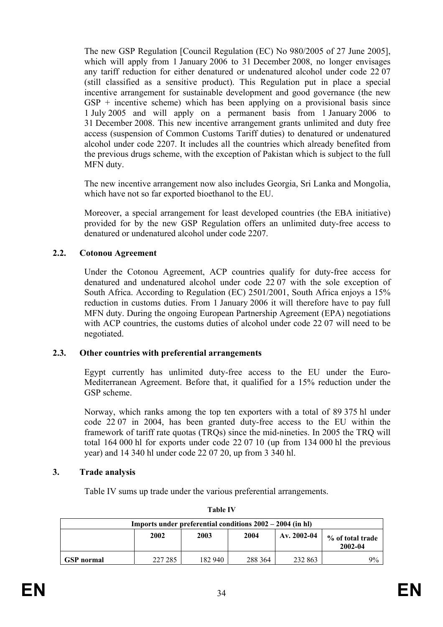The new GSP Regulation [Council Regulation (EC) No 980/2005 of 27 June 2005], which will apply from 1 January 2006 to 31 December 2008, no longer envisages any tariff reduction for either denatured or undenatured alcohol under code 22 07 (still classified as a sensitive product). This Regulation put in place a special incentive arrangement for sustainable development and good governance (the new  $GSP +$  incentive scheme) which has been applying on a provisional basis since 1 July 2005 and will apply on a permanent basis from 1 January 2006 to 31 December 2008. This new incentive arrangement grants unlimited and duty free access (suspension of Common Customs Tariff duties) to denatured or undenatured alcohol under code 2207. It includes all the countries which already benefited from the previous drugs scheme, with the exception of Pakistan which is subject to the full MFN duty.

The new incentive arrangement now also includes Georgia, Sri Lanka and Mongolia, which have not so far exported bioethanol to the EU.

Moreover, a special arrangement for least developed countries (the EBA initiative) provided for by the new GSP Regulation offers an unlimited duty-free access to denatured or undenatured alcohol under code 2207.

#### **2.2. Cotonou Agreement**

Under the Cotonou Agreement, ACP countries qualify for duty-free access for denatured and undenatured alcohol under code 22 07 with the sole exception of South Africa. According to Regulation (EC) 2501/2001, South Africa enjoys a 15% reduction in customs duties. From 1 January 2006 it will therefore have to pay full MFN duty. During the ongoing European Partnership Agreement (EPA) negotiations with ACP countries, the customs duties of alcohol under code 22 07 will need to be negotiated.

#### **2.3. Other countries with preferential arrangements**

Egypt currently has unlimited duty-free access to the EU under the Euro-Mediterranean Agreement. Before that, it qualified for a 15% reduction under the GSP scheme.

Norway, which ranks among the top ten exporters with a total of 89 375 hl under code 22 07 in 2004, has been granted duty-free access to the EU within the framework of tariff rate quotas (TRQs) since the mid-nineties. In 2005 the TRQ will total 164 000 hl for exports under code 22 07 10 (up from 134 000 hl the previous year) and 14 340 hl under code 22 07 20, up from 3 340 hl.

#### **3. Trade analysis**

Table IV sums up trade under the various preferential arrangements.

| <b>Imports under preferential conditions <math>2002 - 2004</math> (in hI)</b> |         |         |         |               |                             |  |
|-------------------------------------------------------------------------------|---------|---------|---------|---------------|-----------------------------|--|
|                                                                               | 2002    | 2003    | 2004    | Av. $2002-04$ | % of total trade<br>2002-04 |  |
| <b>GSP</b> normal                                                             | 227 285 | 182 940 | 288 364 | 232 863       | 9%                          |  |

| Гable I |  |
|---------|--|
|---------|--|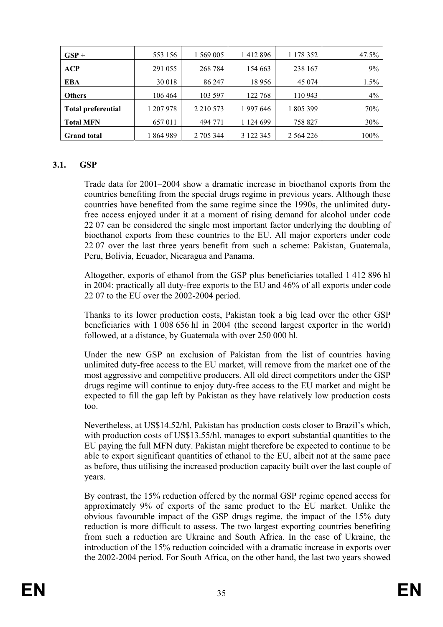| $GSP +$                   | 553 156   | 1 569 005   | 1412896   | 1 178 352     | 47.5% |
|---------------------------|-----------|-------------|-----------|---------------|-------|
| <b>ACP</b>                | 291 055   | 268 784     | 154 663   | 238 167       | 9%    |
| EBA                       | 30 018    | 86 247      | 18956     | 45 0 74       | 1.5%  |
| <b>Others</b>             | 106 464   | 103 597     | 122 768   | 110 943       | 4%    |
| <b>Total preferential</b> | 1 207 978 | 2 2 10 5 73 | 1 997 646 | 1805399       | 70%   |
| <b>Total MFN</b>          | 657 011   | 494 771     | 1 124 699 | 758 827       | 30%   |
| <b>Grand</b> total        | 1864989   | 2 705 344   | 3 122 345 | 2 5 6 4 2 2 6 | 100%  |

#### **3.1. GSP**

Trade data for 2001–2004 show a dramatic increase in bioethanol exports from the countries benefiting from the special drugs regime in previous years. Although these countries have benefited from the same regime since the 1990s, the unlimited dutyfree access enjoyed under it at a moment of rising demand for alcohol under code 22 07 can be considered the single most important factor underlying the doubling of bioethanol exports from these countries to the EU. All major exporters under code 22 07 over the last three years benefit from such a scheme: Pakistan, Guatemala, Peru, Bolivia, Ecuador, Nicaragua and Panama.

Altogether, exports of ethanol from the GSP plus beneficiaries totalled 1 412 896 hl in 2004: practically all duty-free exports to the EU and 46% of all exports under code 22 07 to the EU over the 2002-2004 period.

Thanks to its lower production costs, Pakistan took a big lead over the other GSP beneficiaries with 1 008 656 hl in 2004 (the second largest exporter in the world) followed, at a distance, by Guatemala with over 250 000 hl.

Under the new GSP an exclusion of Pakistan from the list of countries having unlimited duty-free access to the EU market, will remove from the market one of the most aggressive and competitive producers. All old direct competitors under the GSP drugs regime will continue to enjoy duty-free access to the EU market and might be expected to fill the gap left by Pakistan as they have relatively low production costs too.

Nevertheless, at US\$14.52/hl, Pakistan has production costs closer to Brazil's which, with production costs of US\$13.55/hl, manages to export substantial quantities to the EU paying the full MFN duty. Pakistan might therefore be expected to continue to be able to export significant quantities of ethanol to the EU, albeit not at the same pace as before, thus utilising the increased production capacity built over the last couple of years.

By contrast, the 15% reduction offered by the normal GSP regime opened access for approximately 9% of exports of the same product to the EU market. Unlike the obvious favourable impact of the GSP drugs regime, the impact of the 15% duty reduction is more difficult to assess. The two largest exporting countries benefiting from such a reduction are Ukraine and South Africa. In the case of Ukraine, the introduction of the 15% reduction coincided with a dramatic increase in exports over the 2002-2004 period. For South Africa, on the other hand, the last two years showed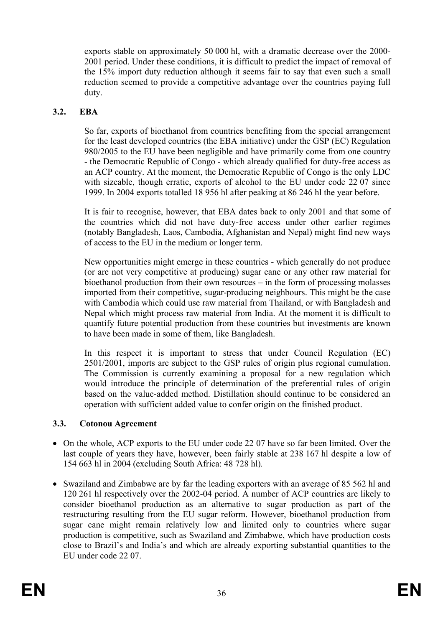exports stable on approximately 50 000 hl, with a dramatic decrease over the 2000- 2001 period. Under these conditions, it is difficult to predict the impact of removal of the 15% import duty reduction although it seems fair to say that even such a small reduction seemed to provide a competitive advantage over the countries paying full duty.

#### **3.2. EBA**

So far, exports of bioethanol from countries benefiting from the special arrangement for the least developed countries (the EBA initiative) under the GSP (EC) Regulation 980/2005 to the EU have been negligible and have primarily come from one country - the Democratic Republic of Congo - which already qualified for duty-free access as an ACP country. At the moment, the Democratic Republic of Congo is the only LDC with sizeable, though erratic, exports of alcohol to the EU under code 22.07 since 1999. In 2004 exports totalled 18 956 hl after peaking at 86 246 hl the year before.

It is fair to recognise, however, that EBA dates back to only 2001 and that some of the countries which did not have duty-free access under other earlier regimes (notably Bangladesh, Laos, Cambodia, Afghanistan and Nepal) might find new ways of access to the EU in the medium or longer term.

New opportunities might emerge in these countries - which generally do not produce (or are not very competitive at producing) sugar cane or any other raw material for bioethanol production from their own resources – in the form of processing molasses imported from their competitive, sugar-producing neighbours. This might be the case with Cambodia which could use raw material from Thailand, or with Bangladesh and Nepal which might process raw material from India. At the moment it is difficult to quantify future potential production from these countries but investments are known to have been made in some of them, like Bangladesh.

In this respect it is important to stress that under Council Regulation (EC) 2501/2001, imports are subject to the GSP rules of origin plus regional cumulation. The Commission is currently examining a proposal for a new regulation which would introduce the principle of determination of the preferential rules of origin based on the value-added method. Distillation should continue to be considered an operation with sufficient added value to confer origin on the finished product.

## **3.3. Cotonou Agreement**

- On the whole, ACP exports to the EU under code 22 07 have so far been limited. Over the last couple of years they have, however, been fairly stable at 238 167 hl despite a low of 154 663 hl in 2004 (excluding South Africa: 48 728 hl)*.*
- Swaziland and Zimbabwe are by far the leading exporters with an average of 85 562 hl and 120 261 hl respectively over the 2002-04 period. A number of ACP countries are likely to consider bioethanol production as an alternative to sugar production as part of the restructuring resulting from the EU sugar reform. However, bioethanol production from sugar cane might remain relatively low and limited only to countries where sugar production is competitive, such as Swaziland and Zimbabwe, which have production costs close to Brazil's and India's and which are already exporting substantial quantities to the EU under code 22 07.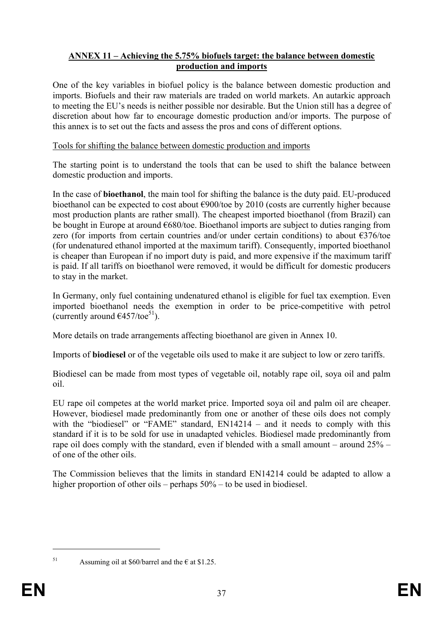#### **ANNEX 11 – Achieving the 5.75% biofuels target: the balance between domestic production and imports**

One of the key variables in biofuel policy is the balance between domestic production and imports. Biofuels and their raw materials are traded on world markets. An autarkic approach to meeting the EU's needs is neither possible nor desirable. But the Union still has a degree of discretion about how far to encourage domestic production and/or imports. The purpose of this annex is to set out the facts and assess the pros and cons of different options.

#### Tools for shifting the balance between domestic production and imports

The starting point is to understand the tools that can be used to shift the balance between domestic production and imports.

In the case of **bioethanol**, the main tool for shifting the balance is the duty paid. EU-produced bioethanol can be expected to cost about €900/toe by 2010 (costs are currently higher because most production plants are rather small). The cheapest imported bioethanol (from Brazil) can be bought in Europe at around €680/toe. Bioethanol imports are subject to duties ranging from zero (for imports from certain countries and/or under certain conditions) to about €376/toe (for undenatured ethanol imported at the maximum tariff). Consequently, imported bioethanol is cheaper than European if no import duty is paid, and more expensive if the maximum tariff is paid. If all tariffs on bioethanol were removed, it would be difficult for domestic producers to stay in the market.

In Germany, only fuel containing undenatured ethanol is eligible for fuel tax exemption. Even imported bioethanol needs the exemption in order to be price-competitive with petrol (currently around  $\epsilon$ 457/toe<sup>51</sup>).

More details on trade arrangements affecting bioethanol are given in Annex 10.

Imports of **biodiesel** or of the vegetable oils used to make it are subject to low or zero tariffs.

Biodiesel can be made from most types of vegetable oil, notably rape oil, soya oil and palm oil.

EU rape oil competes at the world market price. Imported soya oil and palm oil are cheaper. However, biodiesel made predominantly from one or another of these oils does not comply with the "biodiesel" or "FAME" standard, EN14214 – and it needs to comply with this standard if it is to be sold for use in unadapted vehicles. Biodiesel made predominantly from rape oil does comply with the standard, even if blended with a small amount – around  $25%$  – of one of the other oils.

The Commission believes that the limits in standard EN14214 could be adapted to allow a higher proportion of other oils – perhaps 50% – to be used in biodiesel.

<sup>&</sup>lt;sup>51</sup> Assuming oil at \$60/barrel and the  $\epsilon$  at \$1.25.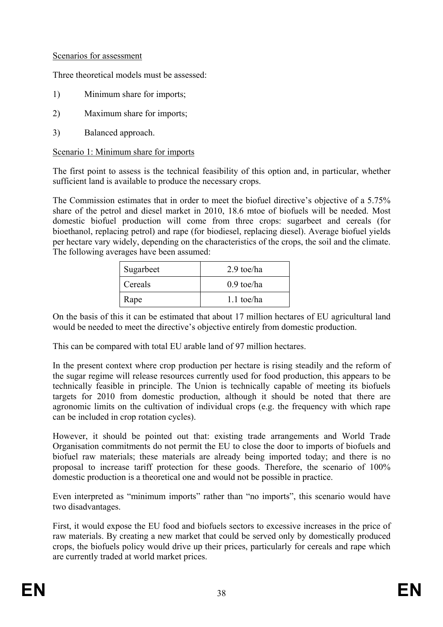#### Scenarios for assessment

Three theoretical models must be assessed:

- 1) Minimum share for imports;
- 2) Maximum share for imports;
- 3) Balanced approach.

#### Scenario 1: Minimum share for imports

The first point to assess is the technical feasibility of this option and, in particular, whether sufficient land is available to produce the necessary crops.

The Commission estimates that in order to meet the biofuel directive's objective of a 5.75% share of the petrol and diesel market in 2010, 18.6 mtoe of biofuels will be needed. Most domestic biofuel production will come from three crops: sugarbeet and cereals (for bioethanol, replacing petrol) and rape (for biodiesel, replacing diesel). Average biofuel yields per hectare vary widely, depending on the characteristics of the crops, the soil and the climate. The following averages have been assumed:

| Sugarbeet | 2.9 toe/ha   |
|-----------|--------------|
| Cereals   | $0.9$ toe/ha |
| Rape      | $1.1$ toe/ha |

On the basis of this it can be estimated that about 17 million hectares of EU agricultural land would be needed to meet the directive's objective entirely from domestic production.

This can be compared with total EU arable land of 97 million hectares.

In the present context where crop production per hectare is rising steadily and the reform of the sugar regime will release resources currently used for food production, this appears to be technically feasible in principle. The Union is technically capable of meeting its biofuels targets for 2010 from domestic production, although it should be noted that there are agronomic limits on the cultivation of individual crops (e.g. the frequency with which rape can be included in crop rotation cycles).

However, it should be pointed out that: existing trade arrangements and World Trade Organisation commitments do not permit the EU to close the door to imports of biofuels and biofuel raw materials; these materials are already being imported today; and there is no proposal to increase tariff protection for these goods. Therefore, the scenario of 100% domestic production is a theoretical one and would not be possible in practice.

Even interpreted as "minimum imports" rather than "no imports", this scenario would have two disadvantages.

First, it would expose the EU food and biofuels sectors to excessive increases in the price of raw materials. By creating a new market that could be served only by domestically produced crops, the biofuels policy would drive up their prices, particularly for cereals and rape which are currently traded at world market prices.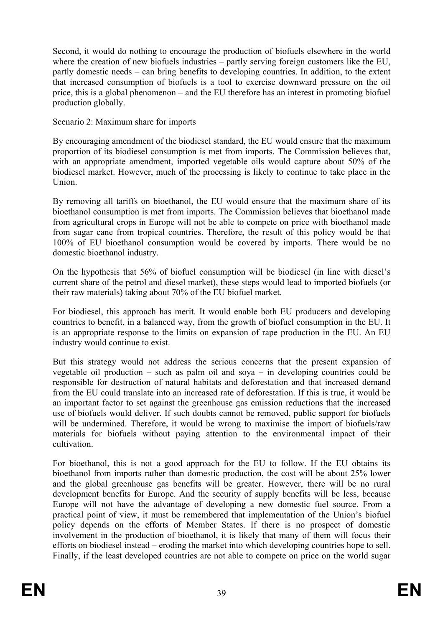Second, it would do nothing to encourage the production of biofuels elsewhere in the world where the creation of new biofuels industries – partly serving foreign customers like the EU, partly domestic needs – can bring benefits to developing countries. In addition, to the extent that increased consumption of biofuels is a tool to exercise downward pressure on the oil price, this is a global phenomenon – and the EU therefore has an interest in promoting biofuel production globally.

#### Scenario 2: Maximum share for imports

By encouraging amendment of the biodiesel standard, the EU would ensure that the maximum proportion of its biodiesel consumption is met from imports. The Commission believes that, with an appropriate amendment, imported vegetable oils would capture about 50% of the biodiesel market. However, much of the processing is likely to continue to take place in the Union.

By removing all tariffs on bioethanol, the EU would ensure that the maximum share of its bioethanol consumption is met from imports. The Commission believes that bioethanol made from agricultural crops in Europe will not be able to compete on price with bioethanol made from sugar cane from tropical countries. Therefore, the result of this policy would be that 100% of EU bioethanol consumption would be covered by imports. There would be no domestic bioethanol industry.

On the hypothesis that 56% of biofuel consumption will be biodiesel (in line with diesel's current share of the petrol and diesel market), these steps would lead to imported biofuels (or their raw materials) taking about 70% of the EU biofuel market.

For biodiesel, this approach has merit. It would enable both EU producers and developing countries to benefit, in a balanced way, from the growth of biofuel consumption in the EU. It is an appropriate response to the limits on expansion of rape production in the EU. An EU industry would continue to exist.

But this strategy would not address the serious concerns that the present expansion of vegetable oil production – such as palm oil and soya – in developing countries could be responsible for destruction of natural habitats and deforestation and that increased demand from the EU could translate into an increased rate of deforestation. If this is true, it would be an important factor to set against the greenhouse gas emission reductions that the increased use of biofuels would deliver. If such doubts cannot be removed, public support for biofuels will be undermined. Therefore, it would be wrong to maximise the import of biofuels/raw materials for biofuels without paying attention to the environmental impact of their cultivation.

For bioethanol, this is not a good approach for the EU to follow. If the EU obtains its bioethanol from imports rather than domestic production, the cost will be about 25% lower and the global greenhouse gas benefits will be greater. However, there will be no rural development benefits for Europe. And the security of supply benefits will be less, because Europe will not have the advantage of developing a new domestic fuel source. From a practical point of view, it must be remembered that implementation of the Union's biofuel policy depends on the efforts of Member States. If there is no prospect of domestic involvement in the production of bioethanol, it is likely that many of them will focus their efforts on biodiesel instead – eroding the market into which developing countries hope to sell. Finally, if the least developed countries are not able to compete on price on the world sugar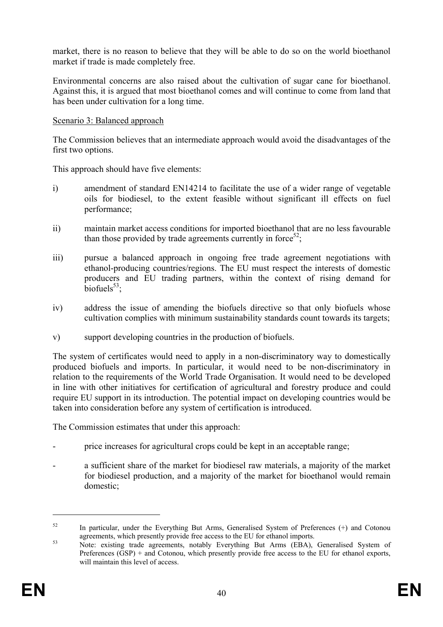market, there is no reason to believe that they will be able to do so on the world bioethanol market if trade is made completely free.

Environmental concerns are also raised about the cultivation of sugar cane for bioethanol. Against this, it is argued that most bioethanol comes and will continue to come from land that has been under cultivation for a long time.

#### Scenario 3: Balanced approach

The Commission believes that an intermediate approach would avoid the disadvantages of the first two options.

This approach should have five elements:

- i) amendment of standard EN14214 to facilitate the use of a wider range of vegetable oils for biodiesel, to the extent feasible without significant ill effects on fuel performance;
- ii) maintain market access conditions for imported bioethanol that are no less favourable than those provided by trade agreements currently in force<sup>52</sup>:
- iii) pursue a balanced approach in ongoing free trade agreement negotiations with ethanol-producing countries/regions. The EU must respect the interests of domestic producers and EU trading partners, within the context of rising demand for biofuels $53$ ;
- iv) address the issue of amending the biofuels directive so that only biofuels whose cultivation complies with minimum sustainability standards count towards its targets;
- v) support developing countries in the production of biofuels.

The system of certificates would need to apply in a non-discriminatory way to domestically produced biofuels and imports. In particular, it would need to be non-discriminatory in relation to the requirements of the World Trade Organisation. It would need to be developed in line with other initiatives for certification of agricultural and forestry produce and could require EU support in its introduction. The potential impact on developing countries would be taken into consideration before any system of certification is introduced.

The Commission estimates that under this approach:

- price increases for agricultural crops could be kept in an acceptable range;
- a sufficient share of the market for biodiesel raw materials, a majority of the market for biodiesel production, and a majority of the market for bioethanol would remain domestic;

<sup>&</sup>lt;sup>52</sup> In particular, under the Everything But Arms, Generalised System of Preferences  $(+)$  and Cotonou agreements, which presently provide free access to the EU for ethanol imports.

<sup>&</sup>lt;sup>53</sup> Note: existing trade agreements, notably Everything But Arms (EBA), Generalised System of Preferences (GSP) + and Cotonou, which presently provide free access to the EU for ethanol exports, will maintain this level of access.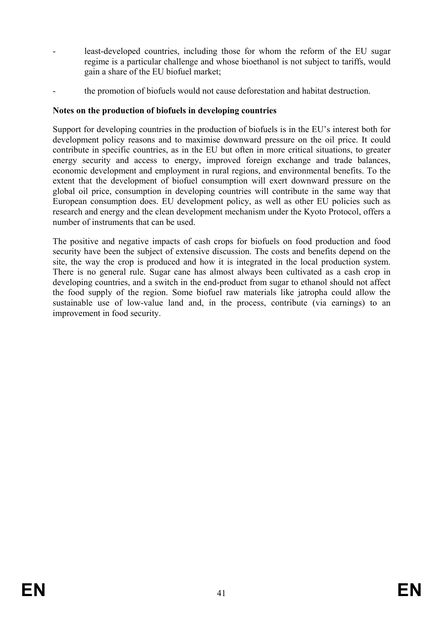- least-developed countries, including those for whom the reform of the EU sugar regime is a particular challenge and whose bioethanol is not subject to tariffs, would gain a share of the EU biofuel market;
- the promotion of biofuels would not cause deforestation and habitat destruction.

#### **Notes on the production of biofuels in developing countries**

Support for developing countries in the production of biofuels is in the EU's interest both for development policy reasons and to maximise downward pressure on the oil price. It could contribute in specific countries, as in the EU but often in more critical situations, to greater energy security and access to energy, improved foreign exchange and trade balances, economic development and employment in rural regions, and environmental benefits. To the extent that the development of biofuel consumption will exert downward pressure on the global oil price, consumption in developing countries will contribute in the same way that European consumption does. EU development policy, as well as other EU policies such as research and energy and the clean development mechanism under the Kyoto Protocol, offers a number of instruments that can be used.

The positive and negative impacts of cash crops for biofuels on food production and food security have been the subject of extensive discussion. The costs and benefits depend on the site, the way the crop is produced and how it is integrated in the local production system. There is no general rule. Sugar cane has almost always been cultivated as a cash crop in developing countries, and a switch in the end-product from sugar to ethanol should not affect the food supply of the region. Some biofuel raw materials like jatropha could allow the sustainable use of low-value land and, in the process, contribute (via earnings) to an improvement in food security.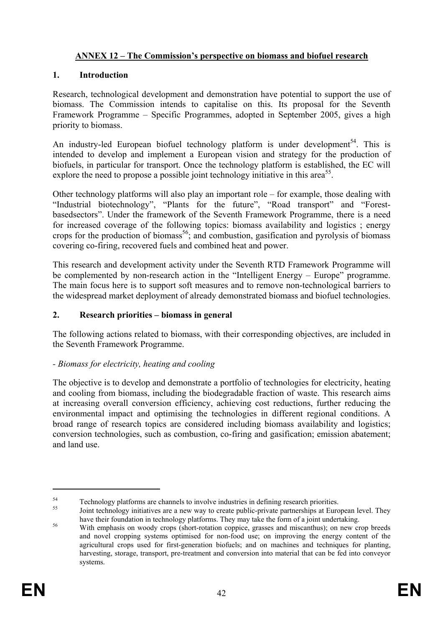## **ANNEX 12 – The Commission's perspective on biomass and biofuel research**

### **1. Introduction**

Research, technological development and demonstration have potential to support the use of biomass. The Commission intends to capitalise on this. Its proposal for the Seventh Framework Programme – Specific Programmes, adopted in September 2005, gives a high priority to biomass.

An industry-led European biofuel technology platform is under development<sup>54</sup>. This is intended to develop and implement a European vision and strategy for the production of biofuels, in particular for transport. Once the technology platform is established, the EC will explore the need to propose a possible joint technology initiative in this area<sup>55</sup>.

Other technology platforms will also play an important role – for example, those dealing with "Industrial biotechnology", "Plants for the future", "Road transport" and "Forestbasedsectors". Under the framework of the Seventh Framework Programme, there is a need for increased coverage of the following topics: biomass availability and logistics ; energy crops for the production of biomass<sup>56</sup>; and combustion, gasification and pyrolysis of biomass covering co-firing, recovered fuels and combined heat and power.

This research and development activity under the Seventh RTD Framework Programme will be complemented by non-research action in the "Intelligent Energy – Europe" programme. The main focus here is to support soft measures and to remove non-technological barriers to the widespread market deployment of already demonstrated biomass and biofuel technologies.

#### **2. Research priorities – biomass in general**

The following actions related to biomass, with their corresponding objectives, are included in the Seventh Framework Programme.

#### *- Biomass for electricity, heating and cooling*

The objective is to develop and demonstrate a portfolio of technologies for electricity, heating and cooling from biomass, including the biodegradable fraction of waste. This research aims at increasing overall conversion efficiency, achieving cost reductions, further reducing the environmental impact and optimising the technologies in different regional conditions. A broad range of research topics are considered including biomass availability and logistics; conversion technologies, such as combustion, co-firing and gasification; emission abatement; and land use.

<sup>&</sup>lt;sup>54</sup> Technology platforms are channels to involve industries in defining research priorities.

Joint technology initiatives are a new way to create public-private partnerships at European level. They have their foundation in technology platforms. They may take the form of a joint undertaking.

have their foundation in technology platforms. They may take the form of a joint undertaking. 56 With emphasis on woody crops (short-rotation coppice, grasses and miscanthus); on new crop breeds and novel cropping systems optimised for non-food use; on improving the energy content of the agricultural crops used for first-generation biofuels; and on machines and techniques for planting, harvesting, storage, transport, pre-treatment and conversion into material that can be fed into conveyor systems.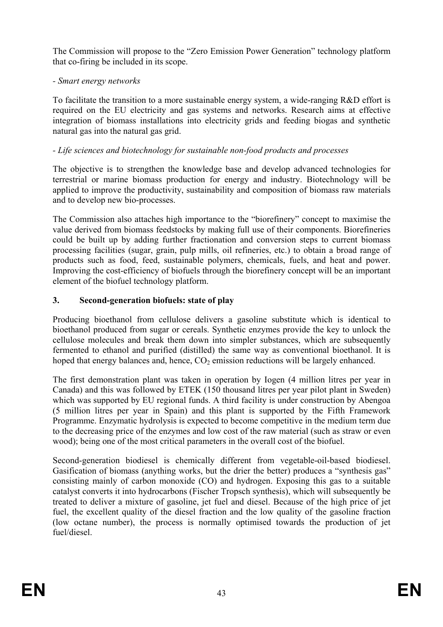The Commission will propose to the "Zero Emission Power Generation" technology platform that co-firing be included in its scope.

### *- Smart energy networks*

To facilitate the transition to a more sustainable energy system, a wide-ranging R&D effort is required on the EU electricity and gas systems and networks. Research aims at effective integration of biomass installations into electricity grids and feeding biogas and synthetic natural gas into the natural gas grid.

## *- Life sciences and biotechnology for sustainable non-food products and processes*

The objective is to strengthen the knowledge base and develop advanced technologies for terrestrial or marine biomass production for energy and industry. Biotechnology will be applied to improve the productivity, sustainability and composition of biomass raw materials and to develop new bio-processes.

The Commission also attaches high importance to the "biorefinery" concept to maximise the value derived from biomass feedstocks by making full use of their components. Biorefineries could be built up by adding further fractionation and conversion steps to current biomass processing facilities (sugar, grain, pulp mills, oil refineries, etc.) to obtain a broad range of products such as food, feed, sustainable polymers, chemicals, fuels, and heat and power. Improving the cost-efficiency of biofuels through the biorefinery concept will be an important element of the biofuel technology platform.

## **3. Second-generation biofuels: state of play**

Producing bioethanol from cellulose delivers a gasoline substitute which is identical to bioethanol produced from sugar or cereals. Synthetic enzymes provide the key to unlock the cellulose molecules and break them down into simpler substances, which are subsequently fermented to ethanol and purified (distilled) the same way as conventional bioethanol. It is hoped that energy balances and, hence,  $CO<sub>2</sub>$  emission reductions will be largely enhanced.

The first demonstration plant was taken in operation by Iogen (4 million litres per year in Canada) and this was followed by ETEK (150 thousand litres per year pilot plant in Sweden) which was supported by EU regional funds. A third facility is under construction by Abengoa (5 million litres per year in Spain) and this plant is supported by the Fifth Framework Programme. Enzymatic hydrolysis is expected to become competitive in the medium term due to the decreasing price of the enzymes and low cost of the raw material (such as straw or even wood); being one of the most critical parameters in the overall cost of the biofuel.

Second-generation biodiesel is chemically different from vegetable-oil-based biodiesel. Gasification of biomass (anything works, but the drier the better) produces a "synthesis gas" consisting mainly of carbon monoxide (CO) and hydrogen. Exposing this gas to a suitable catalyst converts it into hydrocarbons (Fischer Tropsch synthesis), which will subsequently be treated to deliver a mixture of gasoline, jet fuel and diesel. Because of the high price of jet fuel, the excellent quality of the diesel fraction and the low quality of the gasoline fraction (low octane number), the process is normally optimised towards the production of jet fuel/diesel.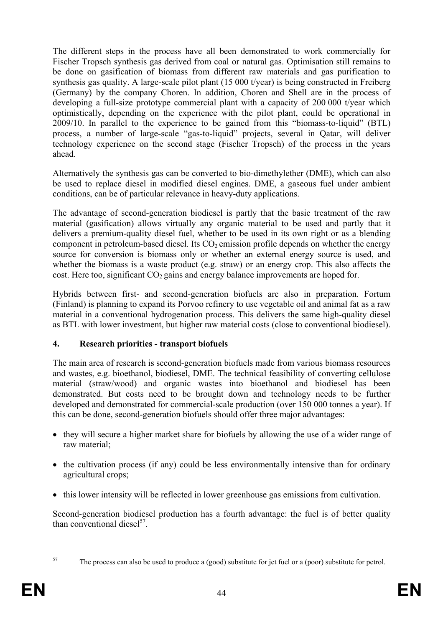The different steps in the process have all been demonstrated to work commercially for Fischer Tropsch synthesis gas derived from coal or natural gas. Optimisation still remains to be done on gasification of biomass from different raw materials and gas purification to synthesis gas quality. A large-scale pilot plant (15 000 t/year) is being constructed in Freiberg (Germany) by the company Choren. In addition, Choren and Shell are in the process of developing a full-size prototype commercial plant with a capacity of 200 000 t/year which optimistically, depending on the experience with the pilot plant, could be operational in 2009/10. In parallel to the experience to be gained from this "biomass-to-liquid" (BTL) process, a number of large-scale "gas-to-liquid" projects, several in Qatar, will deliver technology experience on the second stage (Fischer Tropsch) of the process in the years ahead.

Alternatively the synthesis gas can be converted to bio-dimethylether (DME), which can also be used to replace diesel in modified diesel engines. DME, a gaseous fuel under ambient conditions, can be of particular relevance in heavy-duty applications.

The advantage of second-generation biodiesel is partly that the basic treatment of the raw material (gasification) allows virtually any organic material to be used and partly that it delivers a premium-quality diesel fuel, whether to be used in its own right or as a blending component in petroleum-based diesel. Its  $CO<sub>2</sub>$  emission profile depends on whether the energy source for conversion is biomass only or whether an external energy source is used, and whether the biomass is a waste product (e.g. straw) or an energy crop. This also affects the cost. Here too, significant  $CO<sub>2</sub>$  gains and energy balance improvements are hoped for.

Hybrids between first- and second-generation biofuels are also in preparation. Fortum (Finland) is planning to expand its Porvoo refinery to use vegetable oil and animal fat as a raw material in a conventional hydrogenation process. This delivers the same high-quality diesel as BTL with lower investment, but higher raw material costs (close to conventional biodiesel).

## **4. Research priorities - transport biofuels**

The main area of research is second-generation biofuels made from various biomass resources and wastes, e.g. bioethanol, biodiesel, DME. The technical feasibility of converting cellulose material (straw/wood) and organic wastes into bioethanol and biodiesel has been demonstrated. But costs need to be brought down and technology needs to be further developed and demonstrated for commercial-scale production (over 150 000 tonnes a year). If this can be done, second-generation biofuels should offer three major advantages:

- they will secure a higher market share for biofuels by allowing the use of a wider range of raw material;
- the cultivation process (if any) could be less environmentally intensive than for ordinary agricultural crops;
- this lower intensity will be reflected in lower greenhouse gas emissions from cultivation.

Second-generation biodiesel production has a fourth advantage: the fuel is of better quality than conventional diesel $57$ .

<sup>1</sup> 

<sup>&</sup>lt;sup>57</sup> The process can also be used to produce a (good) substitute for jet fuel or a (poor) substitute for petrol.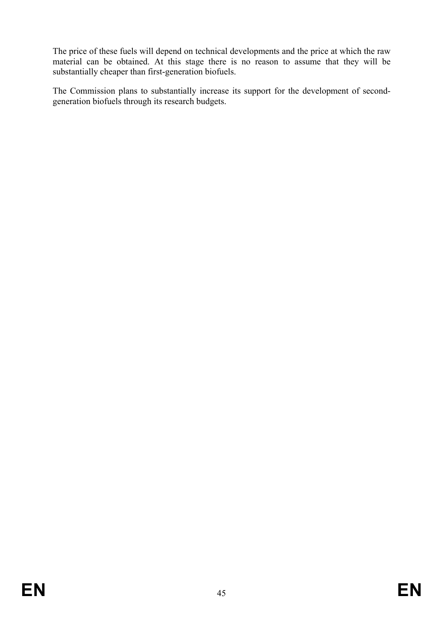The price of these fuels will depend on technical developments and the price at which the raw material can be obtained. At this stage there is no reason to assume that they will be substantially cheaper than first-generation biofuels.

The Commission plans to substantially increase its support for the development of secondgeneration biofuels through its research budgets.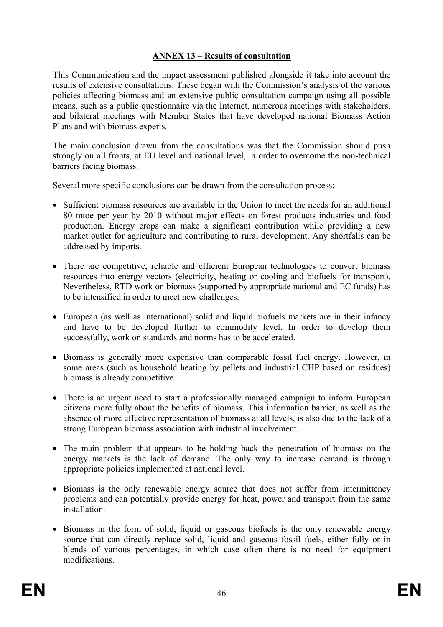## **ANNEX 13 – Results of consultation**

This Communication and the impact assessment published alongside it take into account the results of extensive consultations. These began with the Commission's analysis of the various policies affecting biomass and an extensive public consultation campaign using all possible means, such as a public questionnaire via the Internet, numerous meetings with stakeholders, and bilateral meetings with Member States that have developed national Biomass Action Plans and with biomass experts.

The main conclusion drawn from the consultations was that the Commission should push strongly on all fronts, at EU level and national level, in order to overcome the non-technical barriers facing biomass.

Several more specific conclusions can be drawn from the consultation process:

- Sufficient biomass resources are available in the Union to meet the needs for an additional 80 mtoe per year by 2010 without major effects on forest products industries and food production. Energy crops can make a significant contribution while providing a new market outlet for agriculture and contributing to rural development. Any shortfalls can be addressed by imports.
- There are competitive, reliable and efficient European technologies to convert biomass resources into energy vectors (electricity, heating or cooling and biofuels for transport). Nevertheless, RTD work on biomass (supported by appropriate national and EC funds) has to be intensified in order to meet new challenges.
- European (as well as international) solid and liquid biofuels markets are in their infancy and have to be developed further to commodity level. In order to develop them successfully, work on standards and norms has to be accelerated.
- Biomass is generally more expensive than comparable fossil fuel energy. However, in some areas (such as household heating by pellets and industrial CHP based on residues) biomass is already competitive.
- There is an urgent need to start a professionally managed campaign to inform European citizens more fully about the benefits of biomass. This information barrier, as well as the absence of more effective representation of biomass at all levels, is also due to the lack of a strong European biomass association with industrial involvement.
- The main problem that appears to be holding back the penetration of biomass on the energy markets is the lack of demand. The only way to increase demand is through appropriate policies implemented at national level.
- Biomass is the only renewable energy source that does not suffer from intermittency problems and can potentially provide energy for heat, power and transport from the same installation.
- Biomass in the form of solid, liquid or gaseous biofuels is the only renewable energy source that can directly replace solid, liquid and gaseous fossil fuels, either fully or in blends of various percentages, in which case often there is no need for equipment modifications.